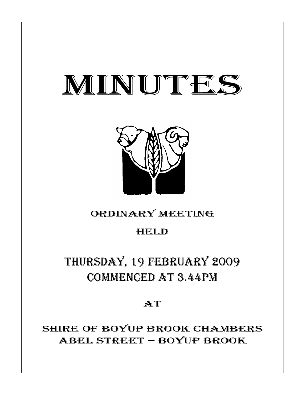# MINUTES



# ORDINARY MEETING

# HELD

# THURSDAY, 19 FEBRUARY 2009 COMMENCED AT 3.44PM

## **AT**

SHIRE OF BOYUP BROOK CHAMBERS ABEL STREET – BOYUP BROOK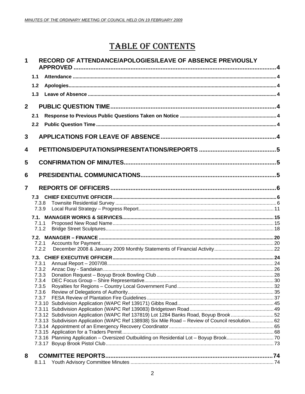# **TABLE OF CONTENTS**

#### RECORD OF ATTENDANCE/APOLOGIES/LEAVE OF ABSENCE PREVIOUSLY  $\mathbf{1}$

|                | 1.1            |                                                                                                  |  |
|----------------|----------------|--------------------------------------------------------------------------------------------------|--|
|                | 1.2            |                                                                                                  |  |
|                | 1.3            |                                                                                                  |  |
|                |                |                                                                                                  |  |
| $\overline{2}$ |                |                                                                                                  |  |
|                | 2.1            |                                                                                                  |  |
|                | 2.2            |                                                                                                  |  |
| 3              |                |                                                                                                  |  |
|                |                |                                                                                                  |  |
| 4              |                |                                                                                                  |  |
| 5              |                |                                                                                                  |  |
| 6              |                |                                                                                                  |  |
|                |                |                                                                                                  |  |
| $\overline{7}$ |                |                                                                                                  |  |
|                | 7.3            |                                                                                                  |  |
|                | 7.3.8<br>7.3.9 |                                                                                                  |  |
|                |                |                                                                                                  |  |
|                | 7.1.1          |                                                                                                  |  |
|                | 7.1.2          |                                                                                                  |  |
|                |                |                                                                                                  |  |
|                | 7.2.1          |                                                                                                  |  |
|                | 7.2.2          |                                                                                                  |  |
|                |                |                                                                                                  |  |
|                | 7.3.1          |                                                                                                  |  |
|                | 7.3.2          |                                                                                                  |  |
|                | 7.3.3<br>7.3.4 |                                                                                                  |  |
|                | 7.3.5          |                                                                                                  |  |
|                | 7.3.6          |                                                                                                  |  |
|                | 7.3.7          |                                                                                                  |  |
|                |                |                                                                                                  |  |
|                |                |                                                                                                  |  |
|                |                | 7.3.12 Subdivision Application (WAPC Ref 137819) Lot 1284 Banks Road, Boyup Brook52              |  |
|                |                | 7.3.13 Subdivision Application (WAPC Ref 138938) Six Mile Road - Review of Council resolution 62 |  |
|                |                |                                                                                                  |  |
|                |                |                                                                                                  |  |
|                |                |                                                                                                  |  |
|                |                |                                                                                                  |  |
| 8              |                |                                                                                                  |  |
|                | 8.1.1          |                                                                                                  |  |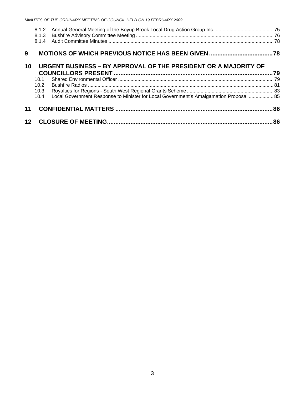|    | 8.1.3  |                                                                                        |     |
|----|--------|----------------------------------------------------------------------------------------|-----|
|    |        |                                                                                        |     |
| 9  |        |                                                                                        |     |
| 10 |        | URGENT BUSINESS - BY APPROVAL OF THE PRESIDENT OR A MAJORITY OF                        |     |
|    |        |                                                                                        |     |
|    | 10 $1$ |                                                                                        |     |
|    | 10.2   |                                                                                        |     |
|    | 10.3   |                                                                                        |     |
|    | 10.4   | Local Government Response to Minister for Local Government's Amalgamation Proposal  85 |     |
| 11 |        |                                                                                        |     |
|    |        |                                                                                        | .86 |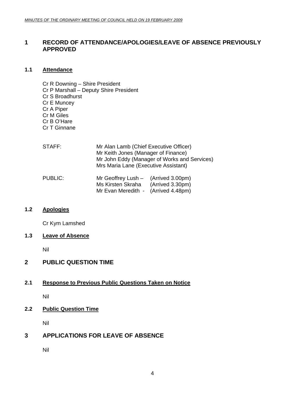#### <span id="page-3-0"></span>**1 RECORD OF ATTENDANCE/APOLOGIES/LEAVE OF ABSENCE PREVIOUSLY APPROVED**

#### **1.1 Attendance**

- Cr R Downing Shire President
- Cr P Marshall Deputy Shire President
- Cr S Broadhurst
- Cr E Muncey
- Cr A Piper
- Cr M Giles
- Cr B O'Hare
- Cr T Ginnane
- STAFF: Mr Alan Lamb (Chief Executive Officer) Mr Keith Jones (Manager of Finance) Mr John Eddy (Manager of Works and Services) Mrs Maria Lane (Executive Assistant) PUBLIC: Mr Geoffrey Lush – (Arrived 3.00pm)
- Ms Kirsten Skraha (Arrived 3.30pm) Mr Evan Meredith - (Arrived 4.48pm)

### **1.2 Apologies**

Cr Kym Lamshed

#### **1.3 Leave of Absence**

Nil

### **2 PUBLIC QUESTION TIME**

### **2.1 Response to Previous Public Questions Taken on Notice**

Nil

### **2.2 Public Question Time**

Nil

### **3 APPLICATIONS FOR LEAVE OF ABSENCE**

Nil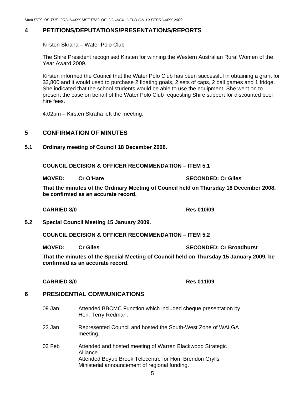#### <span id="page-4-0"></span>**4 PETITIONS/DEPUTATIONS/PRESENTATIONS/REPORTS**

Kirsten Skraha – Water Polo Club

The Shire President recognised Kirsten for winning the Western Australian Rural Women of the Year Award 2009.

Kirsten informed the Council that the Water Polo Club has been successful in obtaining a grant for \$3,800 and it would used to purchase 2 floating goals, 2 sets of caps, 2 ball games and 1 fridge. She indicated that the school students would be able to use the equipment. She went on to present the case on behalf of the Water Polo Club requesting Shire support for discounted pool hire fees.

4.02pm – Kirsten Skraha left the meeting.

#### **5 CONFIRMATION OF MINUTES**

#### **5.1 Ordinary meeting of Council 18 December 2008.**

**COUNCIL DECISION & OFFICER RECOMMENDATION – ITEM 5.1** 

**MOVED: Cr O'Hare SECONDED: Cr Giles SECONDED: Cr Giles** 

**That the minutes of the Ordinary Meeting of Council held on Thursday 18 December 2008, be confirmed as an accurate record.** 

**CARRIED 8/0 <b>Res** 010/09 **Res** 010/09

**5.2 Special Council Meeting 15 January 2009.** 

**COUNCIL DECISION & OFFICER RECOMMENDATION – ITEM 5.2** 

**MOVED: Cr Giles SECONDED: Cr Broadhurst**  SECONDED: Cr Broadhurst

**That the minutes of the Special Meeting of Council held on Thursday 15 January 2009, be confirmed as an accurate record.** 

#### **CARRIED 8/0 Res 011/09**

### **6 PRESIDENTIAL COMMUNICATIONS**

- 09 Jan Attended BBCMC Function which included cheque presentation by Hon. Terry Redman.
- 23 Jan Represented Council and hosted the South-West Zone of WALGA meeting.
- 03 Feb Attended and hosted meeting of Warren Blackwood Strategic Alliance. Attended Boyup Brook Telecentre for Hon. Brendon Grylls' Ministerial announcement of regional funding.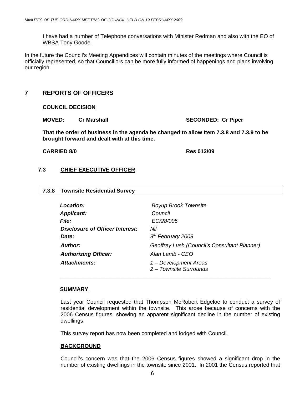<span id="page-5-0"></span>I have had a number of Telephone conversations with Minister Redman and also with the EO of WBSA Tony Goode.

In the future the Council's Meeting Appendices will contain minutes of the meetings where Council is officially represented, so that Councillors can be more fully informed of happenings and plans involving our region.

### **7 REPORTS OF OFFICERS**

#### **COUNCIL DECISION**

**MOVED:** Cr Marshall **SECONDED:** Cr Piper

**That the order of business in the agenda be changed to allow Item 7.3.8 and 7.3.9 to be brought forward and dealt with at this time.** 

#### **CARRIED 8/0 Res 012/09**

#### **7.3 CHIEF EXECUTIVE OFFICER**

#### **7.3.8 Townsite Residential Survey**

| <b>Location:</b>                       | <b>Boyup Brook Townsite</b>                     |
|----------------------------------------|-------------------------------------------------|
| <b>Applicant:</b>                      | Council                                         |
| <i>File:</i>                           | EC/28/005                                       |
| <b>Disclosure of Officer Interest:</b> | Nil                                             |
| Date:                                  | $9th$ February 2009                             |
| <b>Author:</b>                         | Geoffrey Lush (Council's Consultant Planner)    |
| <b>Authorizing Officer:</b>            | Alan Lamb - CEO                                 |
| <b>Attachments:</b>                    | 1 - Development Areas<br>2 - Townsite Surrounds |

\_\_\_\_\_\_\_\_\_\_\_\_\_\_\_\_\_\_\_\_\_\_\_\_\_\_\_\_\_\_\_\_\_\_\_\_\_\_\_\_\_\_\_\_\_\_\_\_\_\_\_\_\_\_\_\_\_\_\_\_\_\_\_\_\_\_\_\_\_

#### **SUMMARY**

Last year Council requested that Thompson McRobert Edgeloe to conduct a survey of residential development within the townsite. This arose because of concerns with the 2006 Census figures, showing an apparent significant decline in the number of existing dwellings.

This survey report has now been completed and lodged with Council.

#### **BACKGROUND**

Council's concern was that the 2006 Census figures showed a significant drop in the number of existing dwellings in the townsite since 2001. In 2001 the Census reported that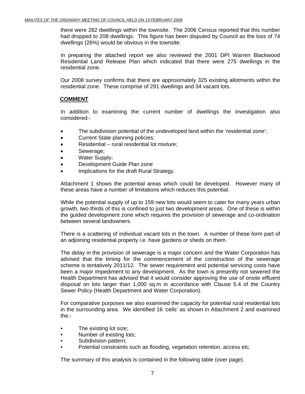there were 282 dwellings within the townsite. The 2006 Census reported that this number had dropped to 208 dwellings. This figure has been disputed by Council as the loss of 74 dwellings (26%) would be obvious in the townsite.

In preparing the attached report we also reviewed the 2001 DPI Warren Blackwood Residential Land Release Plan which indicated that there were 275 dwellings in the residential zone.

Our 2008 survey confirms that there are approximately 325 existing allotments within the residential zone. These comprise of 291 dwellings and 34 vacant lots.

#### **COMMENT**

In addition to examining the current number of dwellings the investigation also considered:-

- The subdivision potential of the undeveloped land within the 'residential zone';
- Current State planning policies;
- Residential rural residential lot mixture;
- Sewerage;
- Water Supply;
- Development Guide Plan zone
- Implications for the draft Rural Strategy.

Attachment 1 shows the potential areas which could be developed. However many of these areas have a number of limitations which reduces this potential.

While the potential supply of up to 159 new lots would seem to cater for many years urban growth, two thirds of this is confined to just two development areas. One of these is within the guided development zone which requires the provision of sewerage and co-ordination between several landowners.

There is a scattering of individual vacant lots in the town. A number of these form part of an adjoining residential property i.e. have gardens or sheds on them.

The delay in the provision of sewerage is a major concern and the Water Corporation has advised that the timing for the commencement of the construction of the sewerage scheme is tentatively 2011/12. The sewer requirement and potential servicing costs have been a major impediment to any development. As the town is presently not sewered the Health Department has advised that it would consider approving the use of onsite effluent disposal on lots larger than 1,000 sq.m in accordance with Clause 5.4 of the Country Sewer Policy (Health Department and Water Corporation).

For comparative purposes we also examined the capacity for potential rural residential lots in the surrounding area. We identified 16 'cells' as shown in Attachment 2 and examined the:-

- The existing lot size;
- Number of existing lots:
- Subdivision pattern;
- Potential constraints such as flooding, vegetation retention, access etc.

The summary of this analysis is contained in the following table (over page).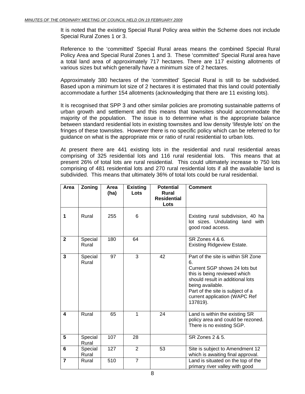It is noted that the existing Special Rural Policy area within the Scheme does not include Special Rural Zones 1 or 3.

Reference to the 'committed' Special Rural areas means the combined Special Rural Policy Area and Special Rural Zones 1 and 3. These 'committed' Special Rural area have a total land area of approximately 717 hectares. There are 117 existing allotments of various sizes but which generally have a minimum size of 2 hectares.

Approximately 380 hectares of the 'committed' Special Rural is still to be subdivided. Based upon a minimum lot size of 2 hectares it is estimated that this land could potentially accommodate a further 154 allotments (acknowledging that there are 11 existing lots).

It is recognised that SPP 3 and other similar policies are promoting sustainable patterns of urban growth and settlement and this means that townsites should accommodate the majority of the population.The issue is to determine what is the appropriate balance between standard residential lots in existing townsites and low density 'lifestyle lots' on the fringes of these townsites. However there is no specific policy which can be referred to for guidance on what is the appropriate mix or ratio of rural residential to urban lots.

At present there are 441 existing lots in the residential and rural residential areas comprising of 325 residential lots and 116 rural residential lots. This means that at present 26% of total lots are rural residential. This could ultimately increase to 750 lots comprising of 481 residential lots and 270 rural residential lots if all the available land is subdivided. This means that ultimately 36% of total lots could be rural residential.

| Area           | Zoning           | Area | <b>Existing</b> | <b>Potential</b>                           | <b>Comment</b>                                                                                                                                                                                                                                     |
|----------------|------------------|------|-----------------|--------------------------------------------|----------------------------------------------------------------------------------------------------------------------------------------------------------------------------------------------------------------------------------------------------|
|                |                  | (ha) | Lots            | <b>Rural</b><br><b>Residential</b><br>Lots |                                                                                                                                                                                                                                                    |
| 1              | Rural            | 255  | 6               |                                            | Existing rural subdivision, 40 ha<br>lot sizes. Undulating land with<br>good road access.                                                                                                                                                          |
| $\mathbf{2}$   | Special<br>Rural | 180  | 64              |                                            | <b>SR Zones 4 &amp; 6.</b><br><b>Existing Ridgeview Estate.</b>                                                                                                                                                                                    |
| 3              | Special<br>Rural | 97   | 3               | 42                                         | Part of the site is within SR Zone<br>6.<br>Current SGP shows 24 lots but<br>this is being reviewed which<br>should result in additional lots<br>being available.<br>Part of the site is subject of a<br>current application (WAPC Ref<br>137819). |
| 4              | Rural            | 65   | $\mathbf 1$     | 24                                         | Land is within the existing SR<br>policy area and could be rezoned.<br>There is no existing SGP.                                                                                                                                                   |
| 5              | Special<br>Rural | 107  | 28              |                                            | SR Zones 2 & 5.                                                                                                                                                                                                                                    |
| 6              | Special<br>Rural | 127  | $\overline{2}$  | 53                                         | Site is subject to Amendment 12<br>which is awaiting final approval.                                                                                                                                                                               |
| $\overline{7}$ | Rural            | 510  | $\overline{7}$  |                                            | Land is situated on the top of the<br>primary river valley with good                                                                                                                                                                               |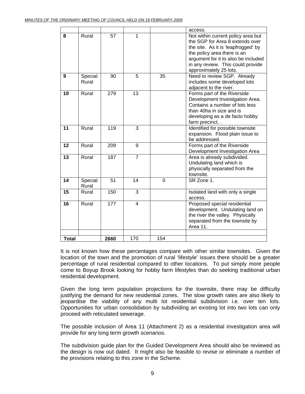|              |                  |                  |                |          | access.                                                                                                                                                                                                                                           |
|--------------|------------------|------------------|----------------|----------|---------------------------------------------------------------------------------------------------------------------------------------------------------------------------------------------------------------------------------------------------|
| 8            | Rural            | 57               | 1              |          | Not within current policy area but<br>the SGP for Area 8 extends over<br>the site. As it is 'leapfrogged' by<br>the policy area there is an<br>argument for it to also be included<br>in any review. This could provide<br>approximately 25 lots. |
| 9            | Special<br>Rural | 90               | 5              | 35       | Need to review SGP. Already<br>includes some developed lots<br>adjacent to the river.                                                                                                                                                             |
| 10           | Rural            | 279              | 13             |          | Forms part of the Riverside<br>Development Investigation Area.<br>Contains a number of lots less<br>than 40ha in size and is<br>developing as a de facto hobby<br>farm precinct                                                                   |
| 11           | Rural            | 119              | 3              |          | Identified for possible townsite<br>expansion. Flood plain issue to<br>be addressed.                                                                                                                                                              |
| 12           | Rural            | 209              | 9              |          | Forms part of the Riverside<br>Development Investigation Area                                                                                                                                                                                     |
| 13           | Rural            | 187              | $\overline{7}$ |          | Area is already subdivided.<br>Undulating land which is<br>physically separated from the<br>townsite.                                                                                                                                             |
| 14           | Special<br>Rural | 51               | 14             | $\Omega$ | SR Zone 1.                                                                                                                                                                                                                                        |
| 15           | Rural            | 150              | $\overline{3}$ |          | Isolated land with only a single<br>access.                                                                                                                                                                                                       |
| 16           | Rural            | $\overline{177}$ | $\overline{4}$ |          | Proposed special residential<br>development. Undulating land on<br>the river the valley. Physically<br>separated from the townsite by<br>Area 11.                                                                                                 |
| <b>Total</b> |                  | 2660             | 170            | 154      |                                                                                                                                                                                                                                                   |

It is not known how these percentages compare with other similar townsites. Given the location of the town and the promotion of rural 'lifestyle' issues there should be a greater percentage of rural residential compared to other locations. To put simply more people come to Boyup Brook looking for hobby farm lifestyles than do seeking traditional urban residential development.

Given the long term population projections for the townsite, there may be difficulty justifying the demand for new residential zones. The slow growth rates are also likely to jeopardise the viability of any multi lot residential subdivision i.e. over ten lots. Opportunities for urban consolidation by subdividing an existing lot into two lots can only proceed with reticulated sewerage.

The possible inclusion of Area 11 (Attachment 2) as a residential investigation area will provide for any long term growth scenarios.

The subdivision guide plan for the Guided Development Area should also be reviewed as the design is now out dated. It might also be feasible to revise or eliminate a number of the provisions relating to this zone in the Scheme.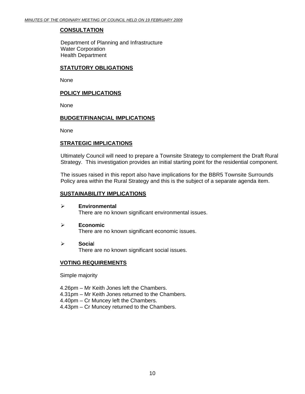#### **CONSULTATION**

Department of Planning and Infrastructure Water Corporation Health Department

#### **STATUTORY OBLIGATIONS**

None

#### **POLICY IMPLICATIONS**

None

#### **BUDGET/FINANCIAL IMPLICATIONS**

**None** 

#### **STRATEGIC IMPLICATIONS**

Ultimately Council will need to prepare a Townsite Strategy to complement the Draft Rural Strategy. This investigation provides an initial starting point for the residential component.

The issues raised in this report also have implications for the BBR5 Townsite Surrounds Policy area within the Rural Strategy and this is the subject of a separate agenda item.

#### **SUSTAINABILITY IMPLICATIONS**

- ¾ **Environmental**  There are no known significant environmental issues.
- ¾ **Economic**  There are no known significant economic issues.
- ¾ **Socia**l There are no known significant social issues.

#### **VOTING REQUIREMENTS**

Simple majority

- 4.26pm Mr Keith Jones left the Chambers.
- 4.31pm Mr Keith Jones returned to the Chambers.
- 4.40pm Cr Muncey left the Chambers.
- 4.43pm Cr Muncey returned to the Chambers.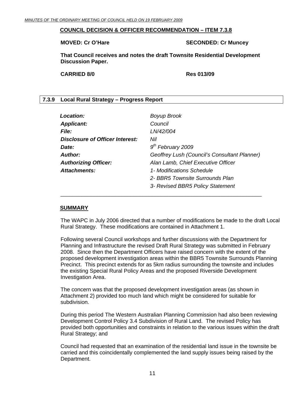#### <span id="page-10-0"></span>**COUNCIL DECISION & OFFICER RECOMMENDATION – ITEM 7.3.8**

#### **MOVED: Cr O'Hare SECONDED: Cr Muncey ATTLE SECONDED: Cr Muncey**

**That Council receives and notes the draft Townsite Residential Development Discussion Paper.** 

**CARRIED 8/0 Res 013/09** 

#### **7.3.9 Local Rural Strategy – Progress Report**

| Location:                       | <b>Boyup Brook</b>                           |
|---------------------------------|----------------------------------------------|
| <b>Applicant:</b>               | Council                                      |
| <b>File:</b>                    | LN/42/004                                    |
| Disclosure of Officer Interest: | Nil                                          |
| Date:                           | $9th$ February 2009                          |
| Author:                         | Geoffrey Lush (Council's Consultant Planner) |
| <b>Authorizing Officer:</b>     | Alan Lamb, Chief Executive Officer           |
| Attachments:                    | 1- Modifications Schedule                    |
|                                 | 2- BBR5 Townsite Surrounds Plan              |
|                                 | 3- Revised BBR5 Policy Statement             |
|                                 |                                              |

#### **SUMMARY**

The WAPC in July 2006 directed that a number of modifications be made to the draft Local Rural Strategy. These modifications are contained in Attachment 1.

Following several Council workshops and further discussions with the Department for Planning and Infrastructure the revised Draft Rural Strategy was submitted in February 2008. Since then the Department Officers have raised concern with the extent of the proposed development investigation areas within the BBR5 Townsite Surrounds Planning Precinct. This precinct extends for as 5km radius surrounding the townsite and includes the existing Special Rural Policy Areas and the proposed Riverside Development Investigation Area.

The concern was that the proposed development investigation areas (as shown in Attachment 2) provided too much land which might be considered for suitable for subdivision.

During this period The Western Australian Planning Commission had also been reviewing Development Control Policy 3.4 Subdivision of Rural Land. The revised Policy has provided both opportunities and constraints in relation to the various issues within the draft Rural Strategy; and

Council had requested that an examination of the residential land issue in the townsite be carried and this coincidentally complemented the land supply issues being raised by the Department.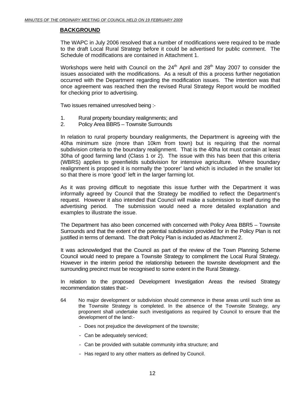#### **BACKGROUND**

The WAPC in July 2006 resolved that a number of modifications were required to be made to the draft Local Rural Strategy before it could be advertised for public comment. The Schedule of modifications are contained in Attachment 1.

Workshops were held with Council on the  $24<sup>th</sup>$  April and  $28<sup>th</sup>$  May 2007 to consider the issues associated with the modifications. As a result of this a process further negotiation occurred with the Department regarding the modification issues. The intention was that once agreement was reached then the revised Rural Strategy Report would be modified for checking prior to advertising.

Two issues remained unresolved being :-

- 1. Rural property boundary realignments; and
- 2. Policy Area BBR5 Townsite Surrounds

In relation to rural property boundary realignments, the Department is agreeing with the 40ha minimum size (more than 10km from town) but is requiring that the normal subdivision criteria to the boundary realignment. That is the 40ha lot must contain at least 30ha of good farming land (Class 1 or 2). The issue with this has been that this criteria (WBRS) applies to greenfields subdivision for intensive agriculture. Where boundary realignment is proposed it is normally the 'poorer' land which is included in the smaller lot so that there is more 'good' left in the larger farming lot.

As it was proving difficult to negotiate this issue further with the Department it was informally agreed by Council that the Strategy be modified to reflect the Department's request. However it also intended that Council will make a submission to itself during the advertising period. The submission would need a more detailed explanation and examples to illustrate the issue.

The Department has also been concerned with concerned with Policy Area BBR5 – Townsite Surrounds and that the extent of the potential subdivision provided for in the Policy Plan is not justified in terms of demand. The draft Policy Plan is included as Attachment 2.

It was acknowledged that the Council as part of the review of the Town Planning Scheme Council would need to prepare a Townsite Strategy to compliment the Local Rural Strategy. However in the interim period the relationship between the townsite development and the surrounding precinct must be recognised to some extent in the Rural Strategy.

In relation to the proposed Development Investigation Areas the revised Strategy recommendation states that:-

- 64 No major development or subdivision should commence in these areas until such time as the Townsite Strategy is completed. In the absence of the Townsite Strategy, any proponent shall undertake such investigations as required by Council to ensure that the development of the land:-
	- Does not prejudice the development of the townsite;
	- Can be adequately serviced;
	- Can be provided with suitable community infra structure; and
	- Has regard to any other matters as defined by Council.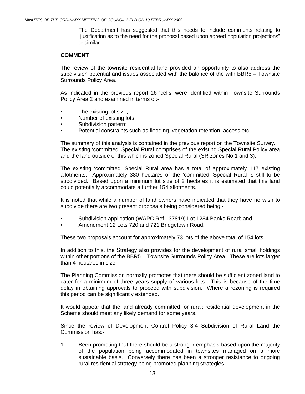The Department has suggested that this needs to include comments relating to "justification as to the need for the proposal based upon agreed population projections" or similar.

#### **COMMENT**

The review of the townsite residential land provided an opportunity to also address the subdivision potential and issues associated with the balance of the with BBR5 – Townsite Surrounds Policy Area.

As indicated in the previous report 16 'cells' were identified within Townsite Surrounds Policy Area 2 and examined in terms of:-

- The existing lot size;
- Number of existing lots;
- Subdivision pattern;
- Potential constraints such as flooding, vegetation retention, access etc.

The summary of this analysis is contained in the previous report on the Townsite Survey. The existing 'committed' Special Rural comprises of the existing Special Rural Policy area and the land outside of this which is zoned Special Rural (SR zones No 1 and 3).

The existing 'committed' Special Rural area has a total of approximately 117 existing allotments. Approximately 380 hectares of the 'committed' Special Rural is still to be subdivided. Based upon a minimum lot size of 2 hectares it is estimated that this land could potentially accommodate a further 154 allotments.

It is noted that while a number of land owners have indicated that they have no wish to subdivide there are two present proposals being considered being:-

- Subdivision application (WAPC Ref 137819) Lot 1284 Banks Road; and
- Amendment 12 Lots 720 and 721 Bridgetown Road.

These two proposals account for approximately 73 lots of the above total of 154 lots.

In addition to this, the Strategy also provides for the development of rural small holdings within other portions of the BBR5 – Townsite Surrounds Policy Area. These are lots larger than 4 hectares in size.

The Planning Commission normally promotes that there should be sufficient zoned land to cater for a minimum of three years supply of various lots. This is because of the time delay in obtaining approvals to proceed with subdivision. Where a rezoning is required this period can be significantly extended.

It would appear that the land already committed for rural; residential development in the Scheme should meet any likely demand for some years.

Since the review of Development Control Policy 3.4 Subdivision of Rural Land the Commission has:-

1. Been promoting that there should be a stronger emphasis based upon the majority of the population being accommodated in townsites managed on a more sustainable basis. Conversely there has been a stronger resistance to ongoing rural residential strategy being promoted planning strategies.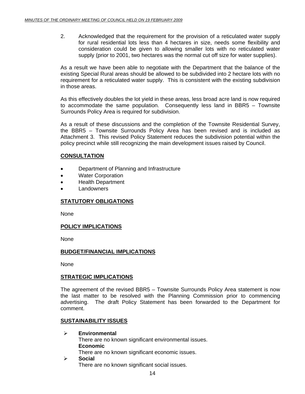2. Acknowledged that the requirement for the provision of a reticulated water supply for rural residential lots less than 4 hectares in size, needs some flexibility and consideration could be given to allowing smaller lots with no reticulated water supply (prior to 2001, two hectares was the normal cut off size for water supplies).

As a result we have been able to negotiate with the Department that the balance of the existing Special Rural areas should be allowed to be subdivided into 2 hectare lots with no requirement for a reticulated water supply. This is consistent with the existing subdivision in those areas.

As this effectively doubles the lot yield in these areas, less broad acre land is now required to accommodate the same population. Consequently less land in BBR5 – Townsite Surrounds Policy Area is required for subdivision.

As a result of these discussions and the completion of the Townsite Residential Survey, the BBR5 – Townsite Surrounds Policy Area has been revised and is included as Attachment 3. This revised Policy Statement reduces the subdivision potential within the policy precinct while still recognizing the main development issues raised by Council.

#### **CONSULTATION**

- Department of Planning and Infrastructure
- Water Corporation
- Health Department
- **Landowners**

#### **STATUTORY OBLIGATIONS**

None

#### **POLICY IMPLICATIONS**

None

#### **BUDGET/FINANCIAL IMPLICATIONS**

None

#### **STRATEGIC IMPLICATIONS**

The agreement of the revised BBR5 – Townsite Surrounds Policy Area statement is now the last matter to be resolved with the Planning Commission prior to commencing advertising. The draft Policy Statement has been forwarded to the Department for comment.

#### **SUSTAINABILITY ISSUES**

- ¾ **Environmental**  There are no known significant environmental issues. **Economic**  There are no known significant economic issues.
- ¾ **Social** There are no known significant social issues.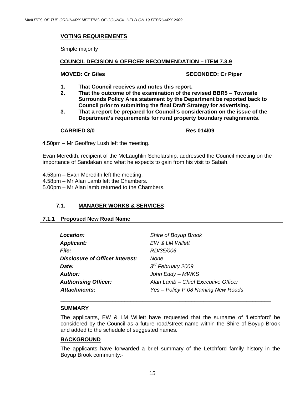#### <span id="page-14-0"></span>**VOTING REQUIREMENTS**

Simple majority

#### **COUNCIL DECISION & OFFICER RECOMMENDATION – ITEM 7.3.9**

#### **MOVED: Cr Giles SECONDED: Cr Piper**

- **1. That Council receives and notes this report.**
- **2. That the outcome of the examination of the revised BBR5 Townsite Surrounds Policy Area statement by the Department be reported back to Council prior to submitting the final Draft Strategy for advertising.**
- **3. That a report be prepared for Council's consideration on the issue of the Department's requirements for rural property boundary realignments.**

#### **CARRIED 8/0 Res 014/09**

4.50pm – Mr Geoffrey Lush left the meeting.

Evan Meredith, recipient of the McLaughlin Scholarship, addressed the Council meeting on the importance of Sandakan and what he expects to gain from his visit to Sabah.

- 4.58pm Evan Meredith left the meeting.
- 4.58pm Mr Alan Lamb left the Chambers.
- 5.00pm Mr Alan lamb returned to the Chambers.

### **7.1. MANAGER WORKS & SERVICES**

#### **7.1.1 Proposed New Road Name**

| Location:                              | Shire of Boyup Brook                |
|----------------------------------------|-------------------------------------|
| <b>Applicant:</b>                      | EW & LM Willett                     |
| <b>File:</b>                           | RD/35/006                           |
| <b>Disclosure of Officer Interest:</b> | <b>None</b>                         |
| Date:                                  | $3rd$ February 2009                 |
| Author:                                | John Eddy - MWKS                    |
| <b>Authorising Officer:</b>            | Alan Lamb - Chief Executive Officer |
| <b>Attachments:</b>                    | Yes - Policy P.08 Naming New Roads  |
|                                        |                                     |

#### **SUMMARY**

The applicants, EW & LM Willett have requested that the surname of 'Letchford' be considered by the Council as a future road/street name within the Shire of Boyup Brook and added to the schedule of suggested names.

\_\_\_\_\_\_\_\_\_\_\_\_\_\_\_\_\_\_\_\_\_\_\_\_\_\_\_\_\_\_\_\_\_\_\_\_\_\_\_\_\_\_\_\_\_\_\_\_\_\_\_\_\_\_\_\_\_\_\_\_\_\_\_\_\_\_\_\_\_

#### **BACKGROUND**

The applicants have forwarded a brief summary of the Letchford family history in the Boyup Brook community:-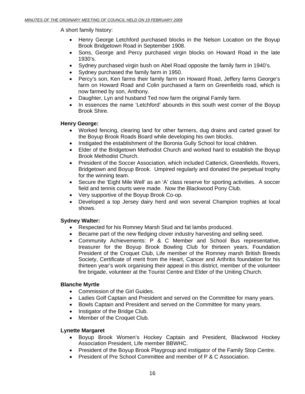A short family history:

- Henry George Letchford purchased blocks in the Nelson Location on the Boyup Brook Bridgetown Road in September 1908.
- Sons, George and Percy purchased virgin blocks on Howard Road in the late 1930's.
- Sydney purchased virgin bush on Abel Road opposite the family farm in 1940's.
- Sydney purchased the family farm in 1950.
- Percy's son, Ken farms their family farm on Howard Road, Jeffery farms George's farm on Howard Road and Colin purchased a farm on Greenfields road, which is now farmed by son, Anthony.
- Daughter, Lyn and husband Ted now farm the original Family farm.
- In essences the name 'Letchford' abounds in this south west corner of the Boyup Brook Shire.

#### **Henry George:**

- Worked fencing, clearing land for other farmers, dug drains and carted gravel for the Boyup Brook Roads Board while developing his own blocks.
- Instigated the establishment of the Boronia Gully School for local children.
- Elder of the Bridgetown Methodist Church and worked hard to establish the Boyup Brook Methodist Church.
- President of the Soccer Association, which included Catterick, Greenfields, Rovers, Bridgetown and Boyup Brook. Umpired regularly and donated the perpetual trophy for the winning team.
- Secure the 'Eight Mile Well' as an 'A' class reserve for sporting activities. A soccer field and tennis courts were made. Now the Blackwood Pony Club.
- Very supportive of the Boyup Brook Co-op.
- Developed a top Jersey dairy herd and won several Champion trophies at local shows.

### **Sydney Walter:**

- Respected for his Romney Marsh Stud and fat lambs produced.
- Became part of the new fledging clover industry harvesting and selling seed.
- Community Achievements: P & C Member and School Bus representative, treasurer for the Boyup Brook Bowling Club for thirteen years, Foundation President of the Croquet Club, Life member of the Romney marsh British Breeds Society, Certificate of merit from the Heart, Cancer and Arthritis foundation for his thirteen year's work organising their appeal in this district, member of the volunteer fire brigade, volunteer at the Tourist Centre and Elder of the Uniting Church.

### **Blanche Myrtle**

- Commission of the Girl Guides.
- Ladies Golf Captain and President and served on the Committee for many years.
- Bowls Captain and President and served on the Committee for many years.
- Instigator of the Bridge Club.
- Member of the Croquet Club.

#### **Lynette Margaret**

- Boyup Brook Women's Hockey Captain and President, Blackwood Hockey Association President, Life member BBWHC.
- President of the Boyup Brook Playgroup and instigator of the Family Stop Centre.
- President of Pre School Committee and member of P & C Association.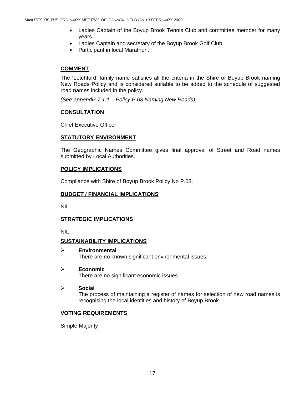- Ladies Captain of the Boyup Brook Tennis Club and committee member for many years.
- Ladies Captain and secretary of the Boyup Brook Golf Club.
- Participant in local Marathon.

#### **COMMENT**

The 'Letchford' family name satisfies all the criteria in the Shire of Boyup Brook naming New Roads Policy and is considered suitable to be added to the schedule of suggested road names included in the policy.

*(See appendix 7.1.1 – Policy P.08 Naming New Roads)* 

#### **CONSULTATION**

Chief Executive Officer

#### **STATUTORY ENVIRONMENT**

The Geographic Names Committee gives final approval of Street and Road names submitted by Local Authorities.

#### **POLICY IMPLICATIONS**

Compliance with Shire of Boyup Brook Policy No P.08.

#### **BUDGET / FINANCIAL IMPLICATIONS**

NIL

#### **STRATEGIC IMPLICATIONS**

NIL

#### **SUSTAINABILITY IMPLICATIONS**

- ¾ **Environmental**  There are no known significant environmental issues.
- ¾ **Economic**

There are no significant economic issues.

¾ **Social** 

The process of maintaining a register of names for selection of new road names is recognising the local identities and history of Boyup Brook.

#### **VOTING REQUIREMENTS**

Simple Majority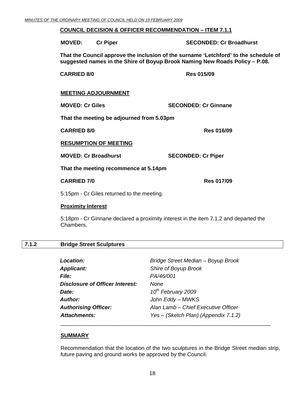#### <span id="page-17-0"></span>**COUNCIL DECISION & OFFICER RECOMMENDATION – ITEM 7.1.1**

 **MOVED: Cr Piper SECONDED: Cr Broadhurst That the Council approve the inclusion of the surname 'Letchford' to the schedule of suggested names in the Shire of Boyup Brook Naming New Roads Policy – P.08. CARRIED 8/0 Res 015/09 MEETING ADJOURNMENT MOVED: Cr Giles SECONDED: Cr Ginnane That the meeting be adjourned from 5.03pm CARRIED 8/0 <b>Res** 016/09 **Res** 016/09 **RESUMPTION OF MEETING MOVED: Cr Broadhurst SECONDED: Cr Piper That the meeting recommence at 5.14pm CARRIED 7/0 Res 017/09**  5:15pm - Cr Giles returned to the meeting.

#### **Proximity Interest**

5:18pm - Cr Ginnane declared a proximity interest in the item 7.1.2 and departed the Chambers.

#### **7.1.2 Bridge Street Sculptures**

| <b>Location:</b>                       | Bridge Street Median - Boyup Brook   |
|----------------------------------------|--------------------------------------|
| <b>Applicant:</b>                      | Shire of Boyup Brook                 |
| <i>File:</i>                           | PA/46/001                            |
| <b>Disclosure of Officer Interest:</b> | None                                 |
| Date:                                  | 10 <sup>th</sup> February 2009       |
| <b>Author:</b>                         | John Eddy - MWKS                     |
| <b>Authorising Officer:</b>            | Alan Lamb - Chief Executive Officer  |
| <b>Attachments:</b>                    | Yes - (Sketch Plan) (Appendix 7.1.2) |
|                                        |                                      |

#### **SUMMARY**

Recommendation that the location of the two sculptures in the Bridge Street median strip, future paving and ground works be approved by the Council.

\_\_\_\_\_\_\_\_\_\_\_\_\_\_\_\_\_\_\_\_\_\_\_\_\_\_\_\_\_\_\_\_\_\_\_\_\_\_\_\_\_\_\_\_\_\_\_\_\_\_\_\_\_\_\_\_\_\_\_\_\_\_\_\_\_\_\_\_\_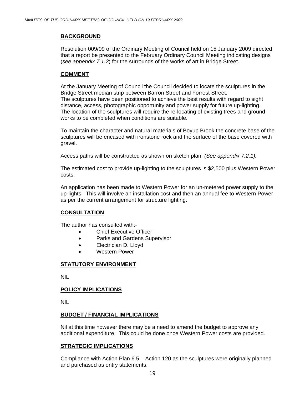#### **BACKGROUND**

Resolution 009/09 of the Ordinary Meeting of Council held on 15 January 2009 directed that a report be presented to the February Ordinary Council Meeting indicating designs (*see appendix 7.1.2*) for the surrounds of the works of art in Bridge Street.

#### **COMMENT**

At the January Meeting of Council the Council decided to locate the sculptures in the Bridge Street median strip between Barron Street and Forrest Street. The sculptures have been positioned to achieve the best results with regard to sight distance, access, photographic opportunity and power supply for future up-lighting. The location of the sculptures will require the re-locating of existing trees and ground works to be completed when conditions are suitable.

To maintain the character and natural materials of Boyup Brook the concrete base of the sculptures will be encased with ironstone rock and the surface of the base covered with gravel.

Access paths will be constructed as shown on sketch plan. *(See appendix 7.2.1).* 

The estimated cost to provide up-lighting to the sculptures is \$2,500 plus Western Power costs.

An application has been made to Western Power for an un-metered power supply to the up-lights. This will involve an installation cost and then an annual fee to Western Power as per the current arrangement for structure lighting.

#### **CONSULTATION**

The author has consulted with:-

- Chief Executive Officer
- Parks and Gardens Supervisor
- Electrician D. Lloyd
- Western Power

#### **STATUTORY ENVIRONMENT**

NIL

#### **POLICY IMPLICATIONS**

NIL

#### **BUDGET / FINANCIAL IMPLICATIONS**

Nil at this time however there may be a need to amend the budget to approve any additional expenditure. This could be done once Western Power costs are provided.

#### **STRATEGIC IMPLICATIONS**

Compliance with Action Plan 6.5 – Action 120 as the sculptures were originally planned and purchased as entry statements.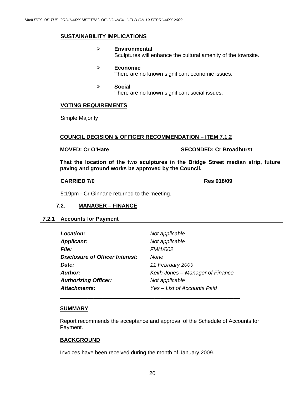#### <span id="page-19-0"></span>**SUSTAINABILITY IMPLICATIONS**

- ¾ **Environmental**  Sculptures will enhance the cultural amenity of the townsite.
- ¾ **Economic**  There are no known significant economic issues.
- ¾ **Social**  There are no known significant social issues.

#### **VOTING REQUIREMENTS**

Simple Majority

#### **COUNCIL DECISION & OFFICER RECOMMENDATION – ITEM 7.1.2**

**MOVED: Cr O'Hare SECONDED: Cr Broadhurst** 

**That the location of the two sculptures in the Bridge Street median strip, future paving and ground works be approved by the Council.** 

#### **CARRIED 7/0 Res 018/09**

5:19pm - Cr Ginnane returned to the meeting.

#### **7.2. MANAGER – FINANCE**

#### **7.2.1 Accounts for Payment**

| Location:                       | Not applicable                   |
|---------------------------------|----------------------------------|
| <b>Applicant:</b>               | Not applicable                   |
| <b>File:</b>                    | FM/1/002                         |
| Disclosure of Officer Interest: | None                             |
| Date:                           | 11 February 2009                 |
| Author:                         | Keith Jones - Manager of Finance |
| <b>Authorizing Officer:</b>     | Not applicable                   |
| Attachments:                    | Yes – List of Accounts Paid      |
|                                 |                                  |

#### **SUMMARY**

Report recommends the acceptance and approval of the Schedule of Accounts for Payment.

#### **BACKGROUND**

Invoices have been received during the month of January 2009.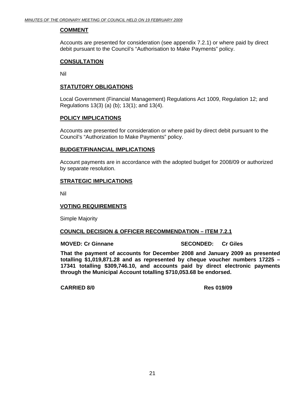#### **COMMENT**

Accounts are presented for consideration (see appendix 7.2.1) or where paid by direct debit pursuant to the Council's "Authorisation to Make Payments" policy.

#### **CONSULTATION**

Nil

#### **STATUTORY OBLIGATIONS**

Local Government (Financial Management) Regulations Act 1009, Regulation 12; and Regulations 13(3) (a) (b); 13(1); and 13(4).

#### **POLICY IMPLICATIONS**

Accounts are presented for consideration or where paid by direct debit pursuant to the Council's "Authorization to Make Payments" policy.

#### **BUDGET/FINANCIAL IMPLICATIONS**

Account payments are in accordance with the adopted budget for 2008/09 or authorized by separate resolution.

#### **STRATEGIC IMPLICATIONS**

Nil

#### **VOTING REQUIREMENTS**

Simple Majority

#### **COUNCIL DECISION & OFFICER RECOMMENDATION – ITEM 7.2.1**

#### **MOVED: Cr Ginnane SECONDED: Cr Giles**

**That the payment of accounts for December 2008 and January 2009 as presented totalling \$1,019,871.28 and as represented by cheque voucher numbers 17225 – 17341 totalling \$309,746.10, and accounts paid by direct electronic payments through the Municipal Account totalling \$710,053.68 be endorsed.** 

#### **CARRIED 8/0 Res 019/09**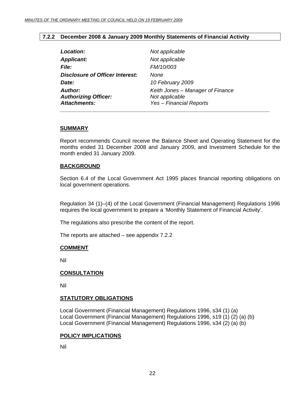#### **7.2.2 December 2008 & January 2009 Monthly Statements of Financial Activity**

<span id="page-21-0"></span>

| Location:                                                            | Not applicable                                                                       |
|----------------------------------------------------------------------|--------------------------------------------------------------------------------------|
| <b>Applicant:</b>                                                    | Not applicable                                                                       |
| <i>File:</i>                                                         | FM/10/003                                                                            |
| <b>Disclosure of Officer Interest:</b>                               | None                                                                                 |
| Date:                                                                | 10 February 2009                                                                     |
| <b>Author:</b><br><b>Authorizing Officer:</b><br><b>Attachments:</b> | Keith Jones - Manager of Finance<br>Not applicable<br><b>Yes - Financial Reports</b> |
|                                                                      |                                                                                      |

#### **SUMMARY**

Report recommends Council receive the Balance Sheet and Operating Statement for the months ended 31 December 2008 and January 2009, and Investment Schedule for the month ended 31 January 2009.

#### **BACKGROUND**

Section 6.4 of the Local Government Act 1995 places financial reporting obligations on local government operations.

Regulation 34 (1)–(4) of the Local Government (Financial Management) Regulations 1996 requires the local government to prepare a 'Monthly Statement of Financial Activity'.

The regulations also prescribe the content of the report.

The reports are attached – see appendix 7.2.2

#### **COMMENT**

Nil

#### **CONSULTATION**

Nil

#### **STATUTORY OBLIGATIONS**

Local Government (Financial Management) Regulations 1996, s34 (1) (a) Local Government (Financial Management) Regulations 1996, s19 (1) (2) (a) (b) Local Government (Financial Management) Regulations 1996, s34 (2) (a) (b)

#### **POLICY IMPLICATIONS**

Nil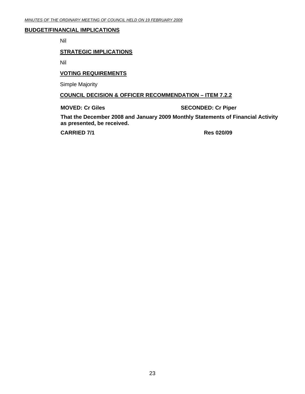#### **BUDGET/FINANCIAL IMPLICATIONS**

Nil

#### **STRATEGIC IMPLICATIONS**

Nil

#### **VOTING REQUIREMENTS**

Simple Majority

#### **COUNCIL DECISION & OFFICER RECOMMENDATION – ITEM 7.2.2**

**MOVED: Cr Giles SECONDED: Cr Piper** 

**That the December 2008 and January 2009 Monthly Statements of Financial Activity as presented, be received.** 

 **CARRIED 7/1 Res 020/09**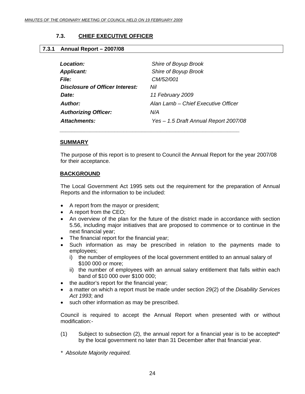### **7.3. CHIEF EXECUTIVE OFFICER**

#### <span id="page-23-0"></span>**7.3.1 Annual Report – 2007/08**

| Location:                       | Shire of Boyup Brook                  |
|---------------------------------|---------------------------------------|
| <b>Applicant:</b>               | Shire of Boyup Brook                  |
| <i>File:</i>                    | CM/52/001                             |
| Disclosure of Officer Interest: | Nil                                   |
| Date:                           | 11 February 2009                      |
| Author:                         | Alan Lamb – Chief Executive Officer   |
| <b>Authorizing Officer:</b>     | N/A                                   |
| Attachments:                    | Yes - 1.5 Draft Annual Report 2007/08 |
|                                 |                                       |

 *\_\_\_\_\_\_\_\_\_\_\_\_\_\_\_\_\_\_\_\_\_\_\_\_\_\_\_\_\_\_\_\_\_\_\_\_\_\_\_\_\_\_\_\_\_\_\_\_\_\_\_\_\_\_\_\_\_\_\_* 

#### **SUMMARY**

The purpose of this report is to present to Council the Annual Report for the year 2007/08 for their acceptance.

#### **BACKGROUND**

The Local Government Act 1995 sets out the requirement for the preparation of Annual Reports and the information to be included:

- A report from the mayor or president;
- A report from the CEO;
- An overview of the plan for the future of the district made in accordance with section 5.56, including major initiatives that are proposed to commence or to continue in the next financial year;
- The financial report for the financial year;
- Such information as may be prescribed in relation to the payments made to employees;
	- i) the number of employees of the local government entitled to an annual salary of \$100 000 or more;
	- ii) the number of employees with an annual salary entitlement that falls within each band of \$10 000 over \$100 000;
- the auditor's report for the financial year;
- a matter on which a report must be made under section 29(2) of the *Disability Services Act 1993*; and
- such other information as may be prescribed.

Council is required to accept the Annual Report when presented with or without modification:-

- (1) Subject to subsection (2), the annual report for a financial year is to be accepted\* by the local government no later than 31 December after that financial year.
- *\* Absolute Majority required.*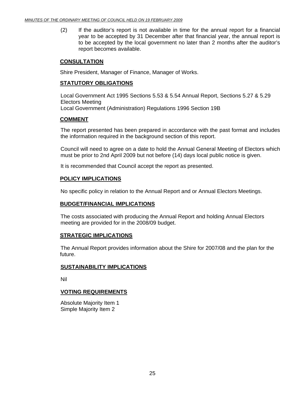(2) If the auditor's report is not available in time for the annual report for a financial year to be accepted by 31 December after that financial year, the annual report is to be accepted by the local government no later than 2 months after the auditor's report becomes available.

#### **CONSULTATION**

Shire President, Manager of Finance, Manager of Works.

#### **STATUTORY OBLIGATIONS**

Local Government Act 1995 Sections 5.53 & 5.54 Annual Report, Sections 5.27 & 5.29 Electors Meeting Local Government (Administration) Regulations 1996 Section 19B

#### **COMMENT**

The report presented has been prepared in accordance with the past format and includes the information required in the background section of this report.

Council will need to agree on a date to hold the Annual General Meeting of Electors which must be prior to 2nd April 2009 but not before (14) days local public notice is given.

It is recommended that Council accept the report as presented.

#### **POLICY IMPLICATIONS**

No specific policy in relation to the Annual Report and or Annual Electors Meetings.

#### **BUDGET/FINANCIAL IMPLICATIONS**

The costs associated with producing the Annual Report and holding Annual Electors meeting are provided for in the 2008/09 budget.

#### **STRATEGIC IMPLICATIONS**

 The Annual Report provides information about the Shire for 2007/08 and the plan for the future.

#### **SUSTAINABILITY IMPLICATIONS**

Nil

#### **VOTING REQUIREMENTS**

Absolute Majority Item 1 Simple Majority Item 2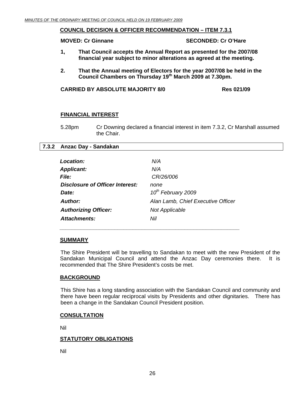#### <span id="page-25-0"></span>**COUNCIL DECISION & OFFICER RECOMMENDATION – ITEM 7.3.1**

**MOVED: Cr Ginnane SECONDED: Cr O'Hare** 

- **1, That Council accepts the Annual Report as presented for the 2007/08 financial year subject to minor alterations as agreed at the meeting.**
- **2. That the Annual meeting of Electors for the year 2007/08 be held in the Council Chambers on Thursday 19th March 2009 at 7.30pm.**

**CARRIED BY ABSOLUTE MAJORITY 8/0 Res 021/09** 

#### **FINANCIAL INTEREST**

5.28pm Cr Downing declared a financial interest in item 7.3.2, Cr Marshall assumed the Chair.

#### **7.3.2 Anzac Day - Sandakan**

| Location:                       | N/A                                |
|---------------------------------|------------------------------------|
| <b>Applicant:</b>               | N/A                                |
| <b>File:</b>                    | CR/26/006                          |
| Disclosure of Officer Interest: | none                               |
| Date:                           | 10 <sup>th</sup> February 2009     |
| Author:                         | Alan Lamb, Chief Executive Officer |
| <b>Authorizing Officer:</b>     | <b>Not Applicable</b>              |
| Attachments:                    | Nil                                |

#### **SUMMARY**

 The Shire President will be travelling to Sandakan to meet with the new President of the Sandakan Municipal Council and attend the Anzac Day ceremonies there. It is recommended that The Shire President's costs be met.

#### **BACKGROUND**

This Shire has a long standing association with the Sandakan Council and community and there have been regular reciprocal visits by Presidents and other dignitaries. There has been a change in the Sandakan Council President position.

#### **CONSULTATION**

Nil

#### **STATUTORY OBLIGATIONS**

Nil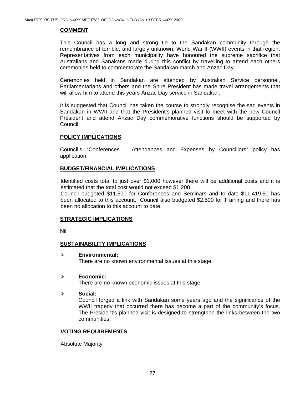#### **COMMENT**

This Council has a long and strong tie to the Sandakan community through the remembrance of terrible, and largely unknown, World War II (WWII) events in that region. Representatives from each municipality have honoured the supreme sacrifice that Australians and Sanakans made during this conflict by travelling to attend each others ceremonies held to commemorate the Sandakan march and Anzac Day.

Ceremonies held in Sandakan are attended by Australian Service personnel, Parliamentarians and others and the Shire President has made travel arrangements that will allow him to attend this years Anzac Day service in Sandakan.

It is suggested that Council has taken the course to strongly recognise the sad events in Sandakan in WWII and that the President's planned visit to meet with the new Council President and attend Anzac Day commemorative functions should be supported by Council.

#### **POLICY IMPLICATIONS**

Council's "Conferences – Attendances and Expenses by Councillors" policy has application

#### **BUDGET/FINANCIAL IMPLICATIONS**

Identified costs total to just over \$1,000 however there will be additional costs and it is estimated that the total cost would not exceed \$1,200.

Council budgeted \$11,500 for Conferences and Seminars and to date \$11,419.50 has been allocated to this account. Council also budgeted \$2,500 for Training and there has been no allocation to this account to date.

#### **STRATEGIC IMPLICATIONS**

Nil

#### **SUSTAINABILITY IMPLICATIONS**

¾ **Environmental:** 

There are no known environmental issues at this stage.

#### ¾ **Economic:**

There are no known economic issues at this stage.

¾ **Social:** 

Council forged a link with Sandakan some years ago and the significance of the WWII tragedy that occurred there has become a part of the community's focus. The President's planned visit is designed to strengthen the links between the two communities.

#### **VOTING REQUIREMENTS**

Absolute Majority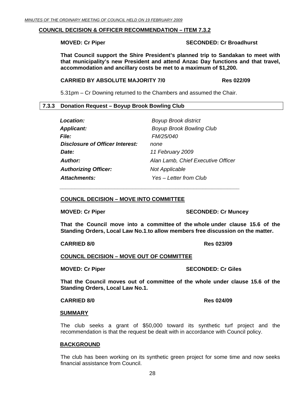#### <span id="page-27-0"></span>**COUNCIL DECISION & OFFICER RECOMMENDATION – ITEM 7.3.2**

#### **MOVED: Cr Piper SECONDED: Cr Broadhurst**

 **That Council support the Shire President's planned trip to Sandakan to meet with that municipality's new President and attend Anzac Day functions and that travel, accommodation and ancillary costs be met to a maximum of \$1,200.** 

#### **CARRIED BY ABSOLUTE MAJORITY 7/0 Res 022/09**

5.31pm – Cr Downing returned to the Chambers and assumed the Chair.

#### **7.3.3 Donation Request – Boyup Brook Bowling Club**

| Location:                              | <b>Boyup Brook district</b>        |
|----------------------------------------|------------------------------------|
| <b>Applicant:</b>                      | <b>Boyup Brook Bowling Club</b>    |
| <i>File:</i>                           | <b>FM/25/040</b>                   |
| <b>Disclosure of Officer Interest:</b> | none                               |
| Date:                                  | 11 February 2009                   |
| <b>Author:</b>                         | Alan Lamb, Chief Executive Officer |
| <b>Authorizing Officer:</b>            | <b>Not Applicable</b>              |
| <b>Attachments:</b>                    | Yes - Letter from Club             |

#### **COUNCIL DECISION – MOVE INTO COMMITTEE**

 *\_\_\_\_\_\_\_\_\_\_\_\_\_\_\_\_\_\_\_\_\_\_\_\_\_\_\_\_\_\_\_\_\_\_\_\_\_\_\_\_\_\_\_\_\_\_\_\_\_\_\_\_\_\_\_\_\_\_\_* 

**MOVED: Cr Piper SECONDED: Cr Muncey** 

**That the Council move into a committee of the whole under clause 15.6 of the Standing Orders, Local Law No.1**.**to allow members free discussion on the matter.** 

#### **CARRIED 8/0 Res 023/09**

**COUNCIL DECISION – MOVE OUT OF COMMITTEE**

**MOVED: Cr Piper SECONDED: Cr Giles** 

**That the Council moves out of committee of the whole under clause 15.6 of the Standing Orders, Local Law No.1.** 

#### **CARRIED 8/0 Res 024/09**

#### **SUMMARY**

The club seeks a grant of \$50,000 toward its synthetic turf project and the recommendation is that the request be dealt with in accordance with Council policy.

#### **BACKGROUND**

The club has been working on its synthetic green project for some time and now seeks financial assistance from Council.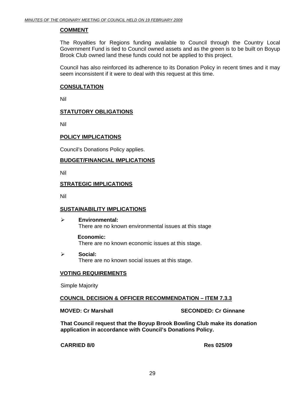#### **COMMENT**

The Royalties for Regions funding available to Council through the Country Local Government Fund is tied to Council owned assets and as the green is to be built on Boyup Brook Club owned land these funds could not be applied to this project.

Council has also reinforced its adherence to its Donation Policy in recent times and it may seem inconsistent if it were to deal with this request at this time.

#### **CONSULTATION**

Nil

#### **STATUTORY OBLIGATIONS**

Nil

#### **POLICY IMPLICATIONS**

Council's Donations Policy applies.

#### **BUDGET/FINANCIAL IMPLICATIONS**

Nil

#### **STRATEGIC IMPLICATIONS**

Nil

#### **SUSTAINABILITY IMPLICATIONS**

¾ **Environmental:**  There are no known environmental issues at this stage

**Economic:**  There are no known economic issues at this stage.

¾ **Social:**  There are no known social issues at this stage.

#### **VOTING REQUIREMENTS**

Simple Majority

**COUNCIL DECISION & OFFICER RECOMMENDATION – ITEM 7.3.3**

**MOVED: Cr Marshall SECONDED: Cr Ginnane** 

**That Council request that the Boyup Brook Bowling Club make its donation application in accordance with Council's Donations Policy.** 

**CARRIED 8/0 Res 025/09**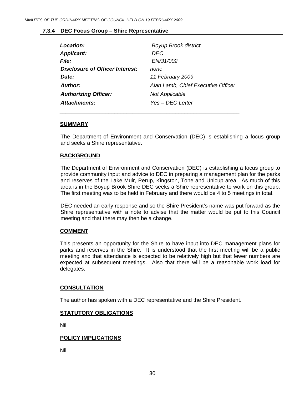#### <span id="page-29-0"></span>**7.3.4 DEC Focus Group – Shire Representative**

| Location:                       | <b>Boyup Brook district</b>        |
|---------------------------------|------------------------------------|
| <b>Applicant:</b>               | DEC                                |
| <i>File:</i>                    | EN/31/002                          |
| Disclosure of Officer Interest: | none                               |
| Date:                           | 11 February 2009                   |
| <b>Author:</b>                  | Alan Lamb, Chief Executive Officer |
| <b>Authorizing Officer:</b>     | <b>Not Applicable</b>              |
| <b>Attachments:</b>             | Yes – DEC Letter                   |

 *\_\_\_\_\_\_\_\_\_\_\_\_\_\_\_\_\_\_\_\_\_\_\_\_\_\_\_\_\_\_\_\_\_\_\_\_\_\_\_\_\_\_\_\_\_\_\_\_\_\_\_\_\_\_\_\_\_\_\_* 

#### **SUMMARY**

The Department of Environment and Conservation (DEC) is establishing a focus group and seeks a Shire representative.

#### **BACKGROUND**

The Department of Environment and Conservation (DEC) is establishing a focus group to provide community input and advice to DEC in preparing a management plan for the parks and reserves of the Lake Muir, Perup, Kingston, Tone and Unicup area. As much of this area is in the Boyup Brook Shire DEC seeks a Shire representative to work on this group. The first meeting was to be held in February and there would be 4 to 5 meetings in total.

DEC needed an early response and so the Shire President's name was put forward as the Shire representative with a note to advise that the matter would be put to this Council meeting and that there may then be a change.

#### **COMMENT**

This presents an opportunity for the Shire to have input into DEC management plans for parks and reserves in the Shire. It is understood that the first meeting will be a public meeting and that attendance is expected to be relatively high but that fewer numbers are expected at subsequent meetings. Also that there will be a reasonable work load for delegates.

#### **CONSULTATION**

The author has spoken with a DEC representative and the Shire President.

#### **STATUTORY OBLIGATIONS**

Nil

#### **POLICY IMPLICATIONS**

Nil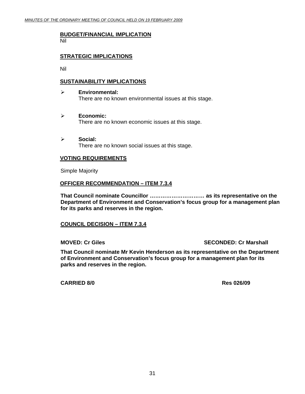#### **BUDGET/FINANCIAL IMPLICATION** Nil

#### **STRATEGIC IMPLICATIONS**

Nil

#### **SUSTAINABILITY IMPLICATIONS**

- ¾ **Environmental:**  There are no known environmental issues at this stage.
- ¾ **Economic:**  There are no known economic issues at this stage.
- ¾ **Social:**  There are no known social issues at this stage.

#### **VOTING REQUIREMENTS**

Simple Majority

#### **OFFICER RECOMMENDATION – ITEM 7.3.4**

**That Council nominate Councillor ………………………… as its representative on the Department of Environment and Conservation's focus group for a management plan for its parks and reserves in the region.** 

#### **COUNCIL DECISION – ITEM 7.3.4**

**MOVED: Cr Giles SECONDED: Cr Marshall**  SECONDED: Cr Marshall

**That Council nominate Mr Kevin Henderson as its representative on the Department of Environment and Conservation's focus group for a management plan for its parks and reserves in the region.** 

**CARRIED 8/0 Res 026/09**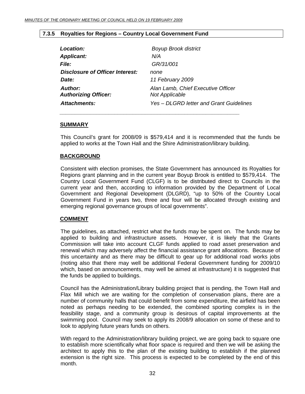#### <span id="page-31-0"></span>**7.3.5 Royalties for Regions – Country Local Government Fund**

 *\_\_\_\_\_\_\_\_\_\_\_\_\_\_\_\_\_\_\_\_\_\_\_\_\_\_\_\_\_\_\_\_\_\_\_\_\_\_\_\_\_\_\_\_\_\_\_\_\_\_\_\_\_\_\_\_\_\_\_* 

| Location:                              | <b>Boyup Brook district</b>                                 |
|----------------------------------------|-------------------------------------------------------------|
| <b>Applicant:</b>                      | N/A                                                         |
| <i>File:</i>                           | GR/31/001                                                   |
| Disclosure of Officer Interest:        | none                                                        |
| Date:                                  | 11 February 2009                                            |
| Author:<br><b>Authorizing Officer:</b> | Alan Lamb, Chief Executive Officer<br><b>Not Applicable</b> |
| Attachments:                           | Yes – DLGRD letter and Grant Guidelines                     |

#### **SUMMARY**

This Council's grant for 2008/09 is \$579,414 and it is recommended that the funds be applied to works at the Town Hall and the Shire Administration/library building.

#### **BACKGROUND**

Consistent with election promises, the State Government has announced its Royalties for Regions grant planning and in the current year Boyup Brook is entitled to \$579,414. The Country Local Government Fund (CLGF) is to be distributed direct to Councils in the current year and then, according to information provided by the Department of Local Government and Regional Development (DLGRD), "up to 50% of the Country Local Government Fund in years two, three and four will be allocated through existing and emerging regional governance groups of local governments".

#### **COMMENT**

The guidelines, as attached, restrict what the funds may be spent on. The funds may be applied to building and infrastructure assets. However, it is likely that the Grants Commission will take into account CLGF funds applied to road asset preservation and renewal which may adversely affect the financial assistance grant allocations. Because of this uncertainty and as there may be difficult to gear up for additional road works jobs (noting also that there may well be additional Federal Government funding for 2009/10 which, based on announcements, may well be aimed at infrastructure) it is suggested that the funds be applied to buildings.

Council has the Administration/Library building project that is pending, the Town Hall and Flax Mill which we are waiting for the completion of conservation plans, there are a number of community halls that could benefit from some expenditure, the airfield has been noted as perhaps needing to be extended, the combined sporting complex is in the feasibility stage, and a community group is desirous of capital improvements at the swimming pool. Council may seek to apply its 2008/9 allocation on some of these and to look to applying future years funds on others.

With regard to the Administration/library building project, we are going back to square one to establish more scientifically what floor space is required and then we will be asking the architect to apply this to the plan of the existing building to establish if the planned extension is the right size. This process is expected to be completed by the end of this month.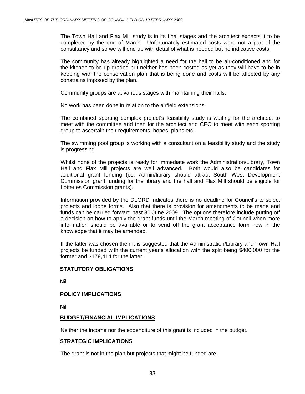The Town Hall and Flax Mill study is in its final stages and the architect expects it to be completed by the end of March. Unfortunately estimated costs were not a part of the consultancy and so we will end up with detail of what is needed but no indicative costs.

The community has already highlighted a need for the hall to be air-conditioned and for the kitchen to be up graded but neither has been costed as yet as they will have to be in keeping with the conservation plan that is being done and costs will be affected by any constrains imposed by the plan.

Community groups are at various stages with maintaining their halls.

No work has been done in relation to the airfield extensions.

The combined sporting complex project's feasibility study is waiting for the architect to meet with the committee and then for the architect and CEO to meet with each sporting group to ascertain their requirements, hopes, plans etc.

The swimming pool group is working with a consultant on a feasibility study and the study is progressing.

Whilst none of the projects is ready for immediate work the Administration/Library, Town Hall and Flax Mill projects are well advanced. Both would also be candidates for additional grant funding (i.e. Admin/library should attract South West Development Commission grant funding for the library and the hall and Flax Mill should be eligible for Lotteries Commission grants).

Information provided by the DLGRD indicates there is no deadline for Council's to select projects and lodge forms. Also that there is provision for amendments to be made and funds can be carried forward past 30 June 2009. The options therefore include putting off a decision on how to apply the grant funds until the March meeting of Council when more information should be available or to send off the grant acceptance form now in the knowledge that it may be amended.

If the latter was chosen then it is suggested that the Administration/Library and Town Hall projects be funded with the current year's allocation with the split being \$400,000 for the former and \$179,414 for the latter.

#### **STATUTORY OBLIGATIONS**

Nil

#### **POLICY IMPLICATIONS**

Nil

#### **BUDGET/FINANCIAL IMPLICATIONS**

Neither the income nor the expenditure of this grant is included in the budget.

#### **STRATEGIC IMPLICATIONS**

The grant is not in the plan but projects that might be funded are.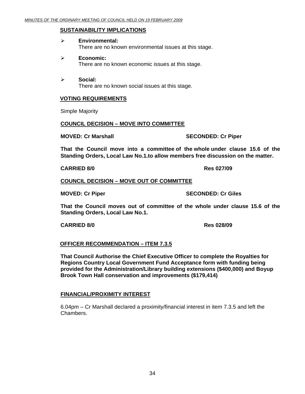#### **SUSTAINABILITY IMPLICATIONS**

#### ¾ **Environmental:**

There are no known environmental issues at this stage.

#### ¾ **Economic:**

There are no known economic issues at this stage.

¾ **Social:**  There are no known social issues at this stage.

#### **VOTING REQUIREMENTS**

Simple Majority

#### **COUNCIL DECISION – MOVE INTO COMMITTEE**

#### **MOVED: Cr Marshall SECONDED: Cr Piper**

**That the Council move into a committee of the whole under clause 15.6 of the Standing Orders, Local Law No.1.to allow members free discussion on the matter.** 

**CARRIED 8/0 Res 027/09** 

#### **COUNCIL DECISION – MOVE OUT OF COMMITTEE**

**MOVED: Cr Piper SECONDED: Cr Giles** 

**That the Council moves out of committee of the whole under clause 15.6 of the Standing Orders, Local Law No.1.** 

#### **CARRIED 8/0 Res 028/09**

#### **OFFICER RECOMMENDATION – ITEM 7.3.5**

**That Council Authorise the Chief Executive Officer to complete the Royalties for Regions Country Local Government Fund Acceptance form with funding being provided for the Administration/Library building extensions (\$400,000) and Boyup Brook Town Hall conservation and improvements (\$179,414)** 

#### **FINANCIAL/PROXIMITY INTEREST**

6.04pm – Cr Marshall declared a proximity/financial interest in item 7.3.5 and left the Chambers.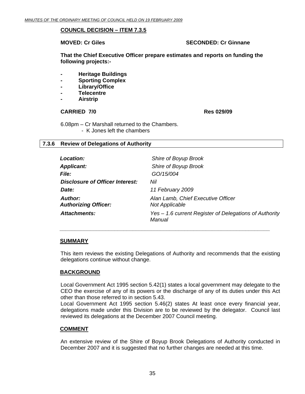#### <span id="page-34-0"></span>**COUNCIL DECISION – ITEM 7.3.5**

#### **MOVED: Cr Giles SECONDED: Cr Ginnane**

**That the Chief Executive Officer prepare estimates and reports on funding the following projects:-** 

- **Heritage Buildings**
- **Sporting Complex**
- **Library/Office**
- **Telecentre**
- **Airstrip**

#### **CARRIED 7/0 Res 029/09**

6.08pm – Cr Marshall returned to the Chambers. - K Jones left the chambers

#### **7.3.6 Review of Delegations of Authority**

| Location:                              | Shire of Boyup Brook                                             |
|----------------------------------------|------------------------------------------------------------------|
| <b>Applicant:</b>                      | Shire of Boyup Brook                                             |
| <b>File:</b>                           | GO/15/004                                                        |
| Disclosure of Officer Interest:        | Nil                                                              |
| Date:                                  | 11 February 2009                                                 |
| Author:<br><b>Authorizing Officer:</b> | Alan Lamb, Chief Executive Officer<br><b>Not Applicable</b>      |
| Attachments:                           | Yes - 1.6 current Register of Delegations of Authority<br>Manual |

#### **SUMMARY**

This item reviews the existing Delegations of Authority and recommends that the existing delegations continue without change.

 *\_\_\_\_\_\_\_\_\_\_\_\_\_\_\_\_\_\_\_\_\_\_\_\_\_\_\_\_\_\_\_\_\_\_\_\_\_\_\_\_\_\_\_\_\_\_\_\_\_\_\_\_\_\_\_\_\_\_\_\_\_\_\_\_\_\_\_\_\_* 

#### **BACKGROUND**

Local Government Act 1995 section 5.42(1) states a local government may delegate to the CEO the exercise of any of its powers or the discharge of any of its duties under this Act other than those referred to in section 5.43.

Local Government Act 1995 section 5.46(2) states At least once every financial year, delegations made under this Division are to be reviewed by the delegator. Council last reviewed its delegations at the December 2007 Council meeting.

#### **COMMENT**

An extensive review of the Shire of Boyup Brook Delegations of Authority conducted in December 2007 and it is suggested that no further changes are needed at this time.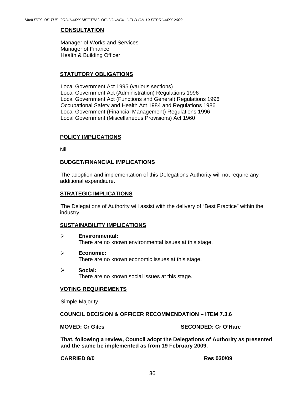#### **CONSULTATION**

Manager of Works and Services Manager of Finance Health & Building Officer

#### **STATUTORY OBLIGATIONS**

Local Government Act 1995 (various sections) Local Government Act (Administration) Regulations 1996 Local Government Act (Functions and General) Regulations 1996 Occupational Safety and Health Act 1984 and Regulations 1986 Local Government (Financial Management) Regulations 1996 Local Government (Miscellaneous Provisions) Act 1960

#### **POLICY IMPLICATIONS**

Nil

#### **BUDGET/FINANCIAL IMPLICATIONS**

 The adoption and implementation of this Delegations Authority will not require any additional expenditure.

#### **STRATEGIC IMPLICATIONS**

The Delegations of Authority will assist with the delivery of "Best Practice" within the industry.

#### **SUSTAINABILITY IMPLICATIONS**

- ¾ **Environmental:**  There are no known environmental issues at this stage.
- ¾ **Economic:**  There are no known economic issues at this stage.
- ¾ **Social:**  There are no known social issues at this stage.

#### **VOTING REQUIREMENTS**

Simple Majority

#### **COUNCIL DECISION & OFFICER RECOMMENDATION – ITEM 7.3.6**

**MOVED: Cr Giles SECONDED: Cr O'Hare** 

**That, following a review, Council adopt the Delegations of Authority as presented and the same be implemented as from 19 February 2009.** 

**CARRIED 8/0 Res 030/09**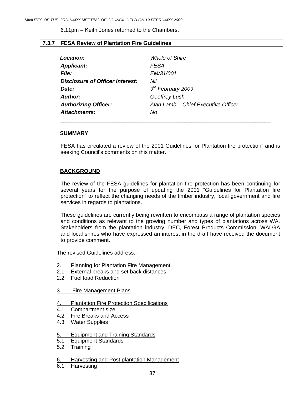6.11pm – Keith Jones returned to the Chambers.

# **7.3.7 FESA Review of Plantation Fire Guidelines**

| Location:                              | <b>Whole of Shire</b>               |
|----------------------------------------|-------------------------------------|
| <b>Applicant:</b>                      | <b>FESA</b>                         |
| <i>File:</i>                           | EM/31/001                           |
| <b>Disclosure of Officer Interest:</b> | Nil                                 |
| Date:                                  | $9th$ February 2009                 |
| Author:                                | <b>Geoffrey Lush</b>                |
| <b>Authorizing Officer:</b>            | Alan Lamb - Chief Executive Officer |
| Attachments:                           | No                                  |

\_\_\_\_\_\_\_\_\_\_\_\_\_\_\_\_\_\_\_\_\_\_\_\_\_\_\_\_\_\_\_\_\_\_\_\_\_\_\_\_\_\_\_\_\_\_\_\_\_\_\_\_\_\_\_\_\_\_\_\_\_\_\_\_\_\_\_\_\_

# **SUMMARY**

FESA has circulated a review of the 2001"Guidelines for Plantation fire protection" and is seeking Council's comments on this matter.

# **BACKGROUND**

The review of the FESA guidelines for plantation fire protection has been continuing for several years for the purpose of updating the 2001 "Guidelines for Plantation fire protection" to reflect the changing needs of the timber industry, local government and fire services in regards to plantations.

These guidelines are currently being rewritten to encompass a range of plantation species and conditions as relevant to the growing number and types of plantations across WA. Stakeholders from the plantation industry, DEC, Forest Products Commission, WALGA and local shires who have expressed an interest in the draft have received the document to provide comment.

The revised Guidelines address:-

- 2. Planning for Plantation Fire Management
- 2.1 External breaks and set back distances
- 2.2 Fuel load Reduction
- 3. Fire Management Plans
- 4. Plantation Fire Protection Specifications
- 4.1 Compartment size
- 4.2 Fire Breaks and Access
- 4.3 Water Supplies

### 5. Equipment and Training Standards

- 5.1 Equipment Standards
- 5.2 Training
- 6. Harvesting and Post plantation Management
- 6.1 Harvesting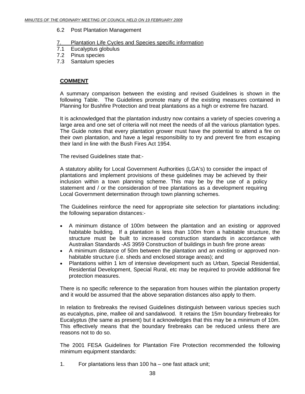### 6.2 Post Plantation Management

# 7. Plantation Life Cycles and Species specific information

- 7.1 Eucalyptus globulus
- 7.2 Pinus species
- 7.3 Santalum species

# **COMMENT**

A summary comparison between the existing and revised Guidelines is shown in the following Table. The Guidelines promote many of the existing measures contained in Planning for Bushfire Protection and treat plantations as a high or extreme fire hazard.

It is acknowledged that the plantation industry now contains a variety of species covering a large area and one set of criteria will not meet the needs of all the various plantation types. The Guide notes that every plantation grower must have the potential to attend a fire on their own plantation, and have a legal responsibility to try and prevent fire from escaping their land in line with the Bush Fires Act 1954.

The revised Guidelines state that:-

A statutory ability for Local Government Authorities (LGA's) to consider the impact of plantations and implement provisions of these guidelines may be achieved by their inclusion within a town planning scheme. This may be by the use of a policy statement and / or the consideration of tree plantations as a development requiring Local Government determination through town planning schemes.

The Guidelines reinforce the need for appropriate site selection for plantations including: the following separation distances:-

- A minimum distance of 100m between the plantation and an existing or approved habitable building. If a plantation is less than 100m from a habitable structure, the structure must be built to increased construction standards in accordance with Australian Standards -AS 3959 Construction of buildings in bush fire prone areas.
- A minimum distance of 50m between the plantation and an existing or approved nonhabitable structure (i.e. sheds and enclosed storage areas); and
- Plantations within 1 km of intensive development such as Urban, Special Residential, Residential Development, Special Rural, etc may be required to provide additional fire protection measures.

There is no specific reference to the separation from houses within the plantation property and it would be assumed that the above separation distances also apply to them.

In relation to firebreaks the revised Guidelines distinguish between various species such as eucalyptus, pine, mallee oil and sandalwood. It retains the 15m boundary firebreaks for Eucalyptus (the same as present) but it acknowledges that this may be a minimum of 10m. This effectively means that the boundary firebreaks can be reduced unless there are reasons not to do so.

The 2001 FESA Guidelines for Plantation Fire Protection recommended the following minimum equipment standards:

1. For plantations less than 100 ha – one fast attack unit;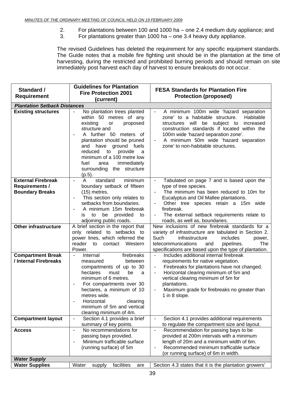- 2. For plantations between 100 and 1000 ha one 2.4 medium duty appliance; and<br>3. For plantations greater than 1000 ha one 3.4 heavy duty appliance.
	- For plantations greater than 1000 ha one 3.4 heavy duty appliance.

The revised Guidelines has deleted the requirement for any specific equipment standards. The Guide notes that a mobile fire fighting unit should be in the plantation at the time of harvesting, during the restricted and prohibited burning periods and should remain on site immediately post harvest each day of harvest to ensure breakouts do not occur.

| Standard /                                      | <b>Guidelines for Plantation</b>                                                                                                                                                                                                                                                                                      | <b>FESA Standards for Plantation Fire</b>                                                                                                                                                                                                                                                |
|-------------------------------------------------|-----------------------------------------------------------------------------------------------------------------------------------------------------------------------------------------------------------------------------------------------------------------------------------------------------------------------|------------------------------------------------------------------------------------------------------------------------------------------------------------------------------------------------------------------------------------------------------------------------------------------|
| <b>Requirement</b>                              | <b>Fire Protection 2001</b>                                                                                                                                                                                                                                                                                           | <b>Protection (proposed)</b>                                                                                                                                                                                                                                                             |
| <b>Plantation Setback Distances</b>             | (current)                                                                                                                                                                                                                                                                                                             |                                                                                                                                                                                                                                                                                          |
| <b>Existing structures</b>                      | No plantation trees planted<br>$\equiv$                                                                                                                                                                                                                                                                               | A minimum 100m wide 'hazard separation<br>$\overline{\phantom{a}}$                                                                                                                                                                                                                       |
|                                                 | within 50 metres of any<br>existing<br>proposed<br>or<br>structure and<br>A further 50 meters of<br>$\qquad \qquad -$<br>plantation should be pruned<br>and have ground fuels<br>reduced<br>to<br>provide<br>a<br>minimum of a 100 metre low<br>fuel<br>immediately<br>area<br>surrounding the structure<br>$(p.5)$ . | zone' to a habitable structure.<br>Habitable<br>be subject to<br>structures will<br>increased<br>construction standards if located within the<br>100m wide 'hazard separation zone'.<br>A minimum 50m wide 'hazard separation<br>$\qquad \qquad -$<br>zone' to non-habitable structures. |
| <b>External Firebreak</b>                       | standard<br>minimum<br>A<br>$\equiv$                                                                                                                                                                                                                                                                                  | Tabulated on page 7 and is based upon the<br>$\equiv$                                                                                                                                                                                                                                    |
| <b>Requirements /</b><br><b>Boundary Breaks</b> | boundary setback of fifteen<br>$(15)$ metres.                                                                                                                                                                                                                                                                         | type of tree species.<br>The minimum has been reduced to 10m for<br>$-$                                                                                                                                                                                                                  |
|                                                 | This section only relates to<br>$\overline{\phantom{0}}$                                                                                                                                                                                                                                                              | Eucalyptus and Oil Mallee plantations.                                                                                                                                                                                                                                                   |
|                                                 | setbacks from boundaries.                                                                                                                                                                                                                                                                                             | Other tree species retain a 15m wide                                                                                                                                                                                                                                                     |
|                                                 | A minimum 15m firebreak<br>provided<br>to<br>be<br>to<br>İS                                                                                                                                                                                                                                                           | firebreak.<br>The external setback requirements relate to                                                                                                                                                                                                                                |
|                                                 | adjoining public roads.                                                                                                                                                                                                                                                                                               | roads, as well as, boundaries.                                                                                                                                                                                                                                                           |
| <b>Other infrastructure</b>                     | A brief section in the report that<br>only related to setbacks to<br>power lines, which referred the<br>reader to contact Western<br>Power.                                                                                                                                                                           | New inclusions of new firebreak standards for a<br>variety of infrastructure are tabulated in Section 2.<br>Such<br>infrastructure<br>includes<br>power,<br>telecommunications<br>pipelines.<br>The<br>and<br>specifications are based upon the type of plantation.                      |
| <b>Compartment Break</b>                        | $\equiv$<br>Internal<br>firebreaks                                                                                                                                                                                                                                                                                    | Includes additional internal firebreak<br>$\equiv$                                                                                                                                                                                                                                       |
| / Internal Firebreaks                           | between<br>measured<br>compartments of up to 30                                                                                                                                                                                                                                                                       | requirements for native vegetation.<br>Firebreaks for plantations have not changed.<br>$\overline{\phantom{a}}$                                                                                                                                                                          |
|                                                 | hectares<br>must<br>be<br>a                                                                                                                                                                                                                                                                                           | Horizontal clearing minimum of 5m and<br>$\qquad \qquad -$                                                                                                                                                                                                                               |
|                                                 | minimum of 6 metres.                                                                                                                                                                                                                                                                                                  | vertical clearing minimum of 5m for                                                                                                                                                                                                                                                      |
|                                                 | For compartments over 30<br>hectares, a minimum of 10                                                                                                                                                                                                                                                                 | plantations.<br>Maximum grade for firebreaks no greater than<br>$\qquad \qquad -$                                                                                                                                                                                                        |
|                                                 | metres wide.                                                                                                                                                                                                                                                                                                          | 1 in 8 slope.                                                                                                                                                                                                                                                                            |
|                                                 | Horizontal<br>clearing                                                                                                                                                                                                                                                                                                |                                                                                                                                                                                                                                                                                          |
|                                                 | minimum of 5m and vertical                                                                                                                                                                                                                                                                                            |                                                                                                                                                                                                                                                                                          |
| <b>Compartment layout</b>                       | clearing minimum of 4m.<br>Section 4.1 provides a brief<br>$\overline{\phantom{a}}$                                                                                                                                                                                                                                   | Section 4.1 provides additional requirements                                                                                                                                                                                                                                             |
|                                                 | summary of key points.                                                                                                                                                                                                                                                                                                | to regulate the compartment size and layout.                                                                                                                                                                                                                                             |
| <b>Access</b>                                   | No recommendations for<br>$\equiv$                                                                                                                                                                                                                                                                                    | Recommendation for passing bays to be<br>$\overline{\phantom{a}}$                                                                                                                                                                                                                        |
|                                                 | passing bays provided.<br>Minimum trafficable surface<br>$\overline{\phantom{a}}$                                                                                                                                                                                                                                     | provided at 200m intervals with a minimum<br>length of 20m and a minimum width of 6m.                                                                                                                                                                                                    |
|                                                 | (running surface) of 5m                                                                                                                                                                                                                                                                                               | Recommended minimum trafficable surface<br>$\overline{\phantom{0}}$                                                                                                                                                                                                                      |
|                                                 |                                                                                                                                                                                                                                                                                                                       | (or running surface) of 6m in width.                                                                                                                                                                                                                                                     |
| <b>Water Supply</b>                             |                                                                                                                                                                                                                                                                                                                       |                                                                                                                                                                                                                                                                                          |
| <b>Water Supplies</b>                           | facilities<br>Water<br>supply<br>are                                                                                                                                                                                                                                                                                  | Section 4.3 states that it is the plantation growers'                                                                                                                                                                                                                                    |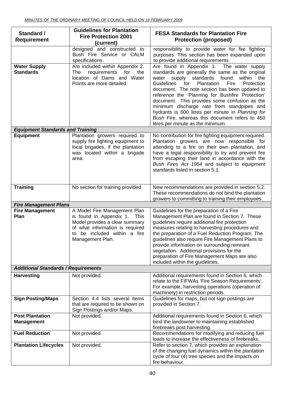| Standard /<br><b>Requirement</b>            | <b>Guidelines for Plantation</b><br><b>Fire Protection 2001</b><br>(current)                                                                                                          | <b>FESA Standards for Plantation Fire</b><br><b>Protection (proposed)</b>                                                                                                                                                                                                                                                                                                                                                                                                                                                                                |
|---------------------------------------------|---------------------------------------------------------------------------------------------------------------------------------------------------------------------------------------|----------------------------------------------------------------------------------------------------------------------------------------------------------------------------------------------------------------------------------------------------------------------------------------------------------------------------------------------------------------------------------------------------------------------------------------------------------------------------------------------------------------------------------------------------------|
|                                             | designed and constructed to<br>Bush Fire Service or CALM<br>specifications.                                                                                                           | responsibility to provide water for fire fighting<br>purposes. This section has been expanded upon<br>to provide additional requirements.                                                                                                                                                                                                                                                                                                                                                                                                                |
| <b>Water Supply</b><br><b>Standards</b>     | Are included within Appendix 2.<br>requirements<br>for<br>the<br>The<br>location of Dams and Water<br>Points are more detailed.                                                       | Are found in Appendix 1. The water supply<br>standards are generally the same as the original<br>water supply standards found<br>within<br>the<br>Guidelines<br>Plantation<br>Fire<br>Protection<br>for<br>document. The note section has been updated to<br>reference the 'Planning for Bushfire Protection'<br>document. This provides some confusion as the<br>minimum discharge rate from standpipes and<br>hydrants is 600 litres per minute in Planning for<br>Bush Fire, whereas this document refers to 450<br>litres per minute as the minimum. |
| <b>Equipment Standards and Training</b>     |                                                                                                                                                                                       |                                                                                                                                                                                                                                                                                                                                                                                                                                                                                                                                                          |
| <b>Equipment</b>                            | Plantation growers required to<br>supply fire fighting equipment to<br>local brigades, if the plantation<br>was located within a brigade<br>area.                                     | No contribution for fire fighting equipment required.<br>Plantation growers are now responsible for<br>attending to a fire on their own plantation, and<br>have a legal responsibility to try and prevent fire<br>from escaping their land in accordance with the<br>Bush Fires Act 1954 and subject to equipment<br>standards listed in section 5.1.                                                                                                                                                                                                    |
| <b>Training</b>                             | No section for training provided.                                                                                                                                                     | New recommendations are provided in section 5.2.<br>These recommendations do not bind the plantation<br>growers to committing to training their employees.                                                                                                                                                                                                                                                                                                                                                                                               |
| <b>Fire Management Plans</b>                |                                                                                                                                                                                       |                                                                                                                                                                                                                                                                                                                                                                                                                                                                                                                                                          |
| <b>Fire Management</b><br>Plan              | A Model Fire Management Plan<br>is found in Appendix 1. This<br>Model provides a clear summary<br>of what information is required<br>to be included within a fire<br>Management Plan. | Guidelines for the preparation of a Fire<br>Management Plan are found in Section 7. These<br>guidelines require additional fire protection<br>measures relating to harvesting procedures and<br>the preparation of a Fuel Reduction Program. The<br>guidelines also require Fire Management Plans to<br>provide information on surrounding remnant<br>vegetation. Additional provisions for the<br>preparation of Fire Management Maps are also<br>included within the guidelines.                                                                       |
| <b>Additional Standards / Requirements</b>  |                                                                                                                                                                                       |                                                                                                                                                                                                                                                                                                                                                                                                                                                                                                                                                          |
| <b>Harvesting</b>                           | Not provided.                                                                                                                                                                         | Additional requirements found in Section 6, which<br>relate to the FIFWAs 'Fire Season Requirements'.<br>For example, harvesting operations (operation of<br>machinery) in restriction periods.                                                                                                                                                                                                                                                                                                                                                          |
| <b>Sign Posting/Maps</b>                    | Section 4.4 lists several items<br>that are required to be shown on<br>Sign Postings and/or Maps.                                                                                     | Guidelines for maps, but not sign postings are<br>provided in Section 7.                                                                                                                                                                                                                                                                                                                                                                                                                                                                                 |
| <b>Post Plantation</b><br><b>Management</b> | Not provided.                                                                                                                                                                         | Additional requirements found in Section 6, which<br>bind the landowner to maintaining established<br>firebreaks post harvesting.                                                                                                                                                                                                                                                                                                                                                                                                                        |
| <b>Fuel Reduction</b>                       | Not provided.                                                                                                                                                                         | Recommendations for modifying and reducing fuel<br>loads to increase the effectiveness of firebreaks.                                                                                                                                                                                                                                                                                                                                                                                                                                                    |
| <b>Plantation Lifecycles</b>                | Not provided.                                                                                                                                                                         | Refer to section 7, which provides an explanation<br>of the changing fuel dynamics within the plantation<br>cycle of four (4) tree species and the impacts on<br>fire behaviour.                                                                                                                                                                                                                                                                                                                                                                         |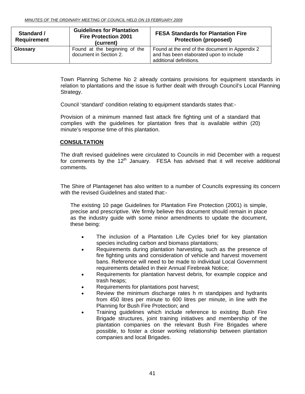| Standard /<br><b>Requirement</b> | <b>Guidelines for Plantation</b><br><b>Fire Protection 2001</b><br>(current) | <b>FESA Standards for Plantation Fire</b><br><b>Protection (proposed)</b>                                            |
|----------------------------------|------------------------------------------------------------------------------|----------------------------------------------------------------------------------------------------------------------|
| Glossary                         | Found at the beginning of the<br>document in Section 2.                      | Found at the end of the document in Appendix 2<br>and has been elaborated upon to include<br>additional definitions. |

Town Planning Scheme No 2 already contains provisions for equipment standards in relation to plantations and the issue is further dealt with through Council's Local Planning Strategy.

Council 'standard' condition relating to equipment standards states that:-

Provision of a minimum manned fast attack fire fighting unit of a standard that complies with the guidelines for plantation fires that is available within (20) minute's response time of this plantation.

# **CONSULTATION**

The draft revised guidelines were circulated to Councils in mid December with a request for comments by the  $12<sup>th</sup>$  January. FESA has advised that it will receive additional comments.

The Shire of Plantagenet has also written to a number of Councils expressing its concern with the revised Guidelines and stated that:-

The existing 10 page Guidelines for Plantation Fire Protection (2001) is simple, precise and prescriptive. We firmly believe this document should remain in place as the industry guide with some minor amendments to update the document, these being:

- The inclusion of a Plantation Life Cycles brief for key plantation species including carbon and biomass plantations;
- Requirements during plantation harvesting, such as the presence of fire fighting units and consideration of vehicle and harvest movement bans. Reference will need to be made to individual Local Government requirements detailed in their Annual Firebreak Notice;
- Requirements for plantation harvest debris, for example coppice and trash heaps;
- Requirements for plantations post harvest;
- Review the minimum discharge rates h m standpipes and hydrants from 450 litres per minute to 600 litres per minute, in line with the Planning for Bush Fire Protection; and
- Training guidelines which include reference to existing Bush Fire Brigade structures, joint training initiatives and membership of the plantation companies on the relevant Bush Fire Brigades where possible, to foster a closer working relationship between plantation companies and local Brigades.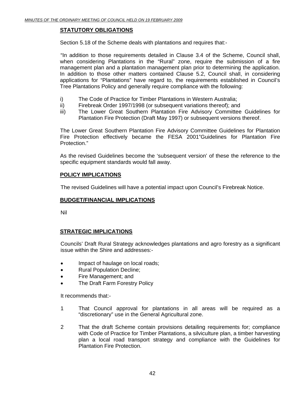# **STATUTORY OBLIGATIONS**

Section 5.18 of the Scheme deals with plantations and requires that:-

 "In addition to those requirements detailed in Clause 3.4 of the Scheme, Council shall, when considering Plantations in the "Rural" zone, require the submission of a fire management plan and a plantation management plan prior to determining the application. In addition to those other matters contained Clause 5.2, Council shall, in considering applications for "Plantations" have regard to, the requirements established in Council's Tree Plantations Policy and generally require compliance with the following:

- i) The Code of Practice for Timber Plantations in Western Australia;
- ii) Firebreak Order 1997/1998 (or subsequent variations thereof); and
- iii) The Lower Great Southern Plantation Fire Advisory Committee Guidelines for Plantation Fire Protection (Draft May 1997) or subsequent versions thereof.

The Lower Great Southern Plantation Fire Advisory Committee Guidelines for Plantation Fire Protection effectively became the FESA 2001"Guidelines for Plantation Fire Protection."

As the revised Guidelines become the 'subsequent version' of these the reference to the specific equipment standards would fall away.

# **POLICY IMPLICATIONS**

The revised Guidelines will have a potential impact upon Council's Firebreak Notice.

### **BUDGET/FINANCIAL IMPLICATIONS**

Nil

# **STRATEGIC IMPLICATIONS**

Councils' Draft Rural Strategy acknowledges plantations and agro forestry as a significant issue within the Shire and addresses:-

- Impact of haulage on local roads;
- Rural Population Decline;
- Fire Management; and
- The Draft Farm Forestry Policy

It recommends that:-

- 1 That Council approval for plantations in all areas will be required as a "discretionary" use in the General Agricultural zone.
- 2 That the draft Scheme contain provisions detailing requirements for; compliance with Code of Practice for Timber Plantations, a silviculture plan, a timber harvesting plan a local road transport strategy and compliance with the Guidelines for Plantation Fire Protection.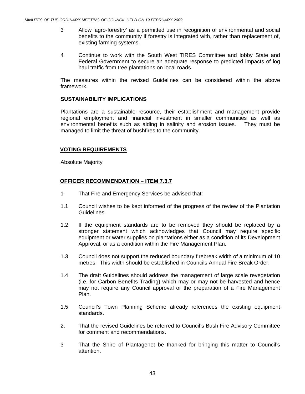- 3 Allow 'agro-forestry' as a permitted use in recognition of environmental and social benefits to the community if forestry is integrated with, rather than replacement of, existing farming systems.
- 4 Continue to work with the South West TIRES Committee and lobby State and Federal Government to secure an adequate response to predicted impacts of log haul traffic from tree plantations on local roads.

The measures within the revised Guidelines can be considered within the above framework.

# **SUSTAINABILITY IMPLICATIONS**

Plantations are a sustainable resource, their establishment and management provide regional employment and financial investment in smaller communities as well as environmental benefits such as aiding in salinity and erosion issues. They must be managed to limit the threat of bushfires to the community.

# **VOTING REQUIREMENTS**

Absolute Majority

# **OFFICER RECOMMENDATION – ITEM 7.3.7**

- 1 That Fire and Emergency Services be advised that:
- 1.1 Council wishes to be kept informed of the progress of the review of the Plantation Guidelines.
- 1.2 If the equipment standards are to be removed they should be replaced by a stronger statement which acknowledges that Council may require specific equipment or water supplies on plantations either as a condition of its Development Approval, or as a condition within the Fire Management Plan.
- 1.3 Council does not support the reduced boundary firebreak width of a minimum of 10 metres. This width should be established in Councils Annual Fire Break Order.
- 1.4 The draft Guidelines should address the management of large scale revegetation (i.e. for Carbon Benefits Trading) which may or may not be harvested and hence may not require any Council approval or the preparation of a Fire Management Plan.
- 1.5 Council's Town Planning Scheme already references the existing equipment standards.
- 2. That the revised Guidelines be referred to Council's Bush Fire Advisory Committee for comment and recommendations.
- 3 That the Shire of Plantagenet be thanked for bringing this matter to Council's attention.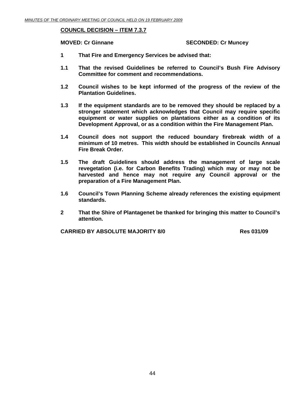# **COUNCIL DECISION – ITEM 7.3.7**

### **MOVED: Cr Ginnane**   $\bullet$  **SECONDED: Cr Muncey**

- **1 That Fire and Emergency Services be advised that:**
- **1.1 That the revised Guidelines be referred to Council's Bush Fire Advisory Committee for comment and recommendations.**
- **1.2 Council wishes to be kept informed of the progress of the review of the Plantation Guidelines.**
- **1.3 If the equipment standards are to be removed they should be replaced by a stronger statement which acknowledges that Council may require specific equipment or water supplies on plantations either as a condition of its Development Approval, or as a condition within the Fire Management Plan.**
- **1.4 Council does not support the reduced boundary firebreak width of a minimum of 10 metres. This width should be established in Councils Annual Fire Break Order.**
- **1.5 The draft Guidelines should address the management of large scale revegetation (i.e. for Carbon Benefits Trading) which may or may not be harvested and hence may not require any Council approval or the preparation of a Fire Management Plan.**
- **1.6 Council's Town Planning Scheme already references the existing equipment standards.**
- **2 That the Shire of Plantagenet be thanked for bringing this matter to Council's attention.**

**CARRIED BY ABSOLUTE MAJORITY 8/0 Res 031/09**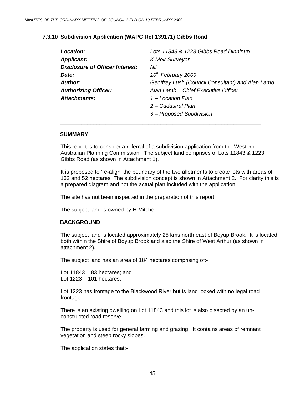# **7.3.10 Subdivision Application (WAPC Ref 139171) Gibbs Road**

| Lots 11843 & 1223 Gibbs Road Dinninup            |
|--------------------------------------------------|
| <b>K Moir Surveyor</b>                           |
| Nil                                              |
| 10 <sup>th</sup> February 2009                   |
| Geoffrey Lush (Council Consultant) and Alan Lamb |
| Alan Lamb - Chief Executive Officer              |
| 1 – Location Plan                                |
| 2 – Cadastral Plan                               |
| 3 – Proposed Subdivision                         |
|                                                  |

### **SUMMARY**

This report is to consider a referral of a subdivision application from the Western Australian Planning Commission. The subject land comprises of Lots 11843 & 1223 Gibbs Road (as shown in Attachment 1).

It is proposed to 're-align' the boundary of the two allotments to create lots with areas of 132 and 52 hectares. The subdivision concept is shown in Attachment 2. For clarity this is a prepared diagram and not the actual plan included with the application.

The site has not been inspected in the preparation of this report.

 $\overline{\phantom{a}}$  , and the contract of the contract of the contract of the contract of the contract of the contract of the contract of the contract of the contract of the contract of the contract of the contract of the contrac

The subject land is owned by H Mitchell

### **BACKGROUND**

The subject land is located approximately 25 kms north east of Boyup Brook. It is located both within the Shire of Boyup Brook and also the Shire of West Arthur (as shown in attachment 2).

The subject land has an area of 184 hectares comprising of:-

Lot 11843 – 83 hectares; and Lot 1223 – 101 hectares.

Lot 1223 has frontage to the Blackwood River but is land locked with no legal road frontage.

There is an existing dwelling on Lot 11843 and this lot is also bisected by an unconstructed road reserve.

The property is used for general farming and grazing. It contains areas of remnant vegetation and steep rocky slopes.

The application states that:-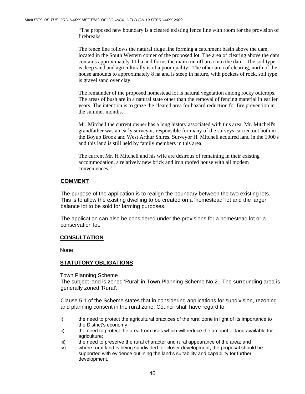"The proposed new boundary is a cleared existing fence line with room for the provision of firebreaks.

The fence line follows the natural ridge line forming a catchment basin above the dam, located in the South Western comer of the proposed lot. The area of clearing above the dam contains approximately 11 ha and forms the main run off area into the dam. The soil type is deep sand and agriculturally is of a poor quality. The other area of clearing, north of the house amounts to approximately 8 ha and is steep in nature, with pockets of rock, soil type is gravel sand over clay.

The remainder of the proposed homestead lot is natural vegetation among rocky outcrops. The areas of bush are in a natural state other than the removal of fencing material in earlier years. The intention is to graze the cleared area for hazard reduction for fire prevention in the summer months.

Mr. Mitchell the current owner has a long history associated with this area. Mr. Mitchell's grandfather was an early surveyor, responsible for many of the surveys carried out both in the Boyup Brook and West Arthur Shires. Surveyor H. Mitchell acquired land in the 1900's and this land is still held by family members in this area.

The current Mr. H Mitchell and his wife are desirous of remaining in their existing accommodation, a relatively new brick and iron roofed house with all modem conveniences."

# **COMMENT**

The purpose of the application is to realign the boundary between the two existing lots. This is to allow the existing dwelling to be created on a 'homestead' lot and the larger balance lot to be sold for farming purposes.

The application can also be considered under the provisions for a homestead lot or a conservation lot.

# **CONSULTATION**

None

### **STATUTORY OBLIGATIONS**

Town Planning Scheme

The subject land is zoned 'Rural' in Town Planning Scheme No.2. The surrounding area is generally zoned 'Rural'.

Clause 5.1 of the Scheme states that in considering applications for subdivision, rezoning and planning consent in the rural zone, Council shall have regard to:

- i) the need to protect the agricultural practices of the rural zone in light of its importance to the District's economy;
- ii) the need to protect the area from uses which will reduce the amount of land available for agriculture;
- iii) the need to preserve the rural character and rural appearance of the area; and
- iv) where rural land is being subdivided for closer development, the proposal should be supported with evidence outlining the land's suitability and capability for further development.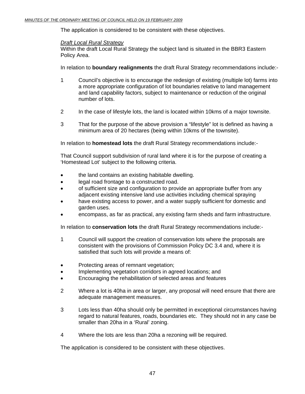The application is considered to be consistent with these objectives.

# *Draft Local Rural Strategy*

Within the draft Local Rural Strategy the subject land is situated in the BBR3 Eastern Policy Area.

In relation to **boundary realignments** the draft Rural Strategy recommendations include:-

- 1 Council's objective is to encourage the redesign of existing (multiple lot) farms into a more appropriate configuration of lot boundaries relative to land management and land capability factors, subject to maintenance or reduction of the original number of lots.
- 2 In the case of lifestyle lots, the land is located within 10kms of a major townsite.
- 3 That for the purpose of the above provision a "lifestyle" lot is defined as having a minimum area of 20 hectares (being within 10kms of the townsite).

In relation to **homestead lots** the draft Rural Strategy recommendations include:-

That Council support subdivision of rural land where it is for the purpose of creating a 'Homestead Lot' subject to the following criteria.

- the land contains an existing habitable dwelling.
- legal road frontage to a constructed road.
- of sufficient size and configuration to provide an appropriate buffer from any adjacent existing intensive land use activities including chemical spraying
- have existing access to power, and a water supply sufficient for domestic and garden uses.
- encompass, as far as practical, any existing farm sheds and farm infrastructure.

In relation to **conservation lots** the draft Rural Strategy recommendations include:-

- 1 Council will support the creation of conservation lots where the proposals are consistent with the provisions of Commission Policy DC 3.4 and, where it is satisfied that such lots will provide a means of:
- Protecting areas of remnant vegetation;
- Implementing vegetation corridors in agreed locations; and
- Encouraging the rehabilitation of selected areas and features
- 2 Where a lot is 40ha in area or larger, any proposal will need ensure that there are adequate management measures.
- 3 Lots less than 40ha should only be permitted in exceptional circumstances having regard to natural features, roads, boundaries etc. They should not in any case be smaller than 20ha in a 'Rural' zoning.
- 4 Where the lots are less than 20ha a rezoning will be required.

The application is considered to be consistent with these objectives.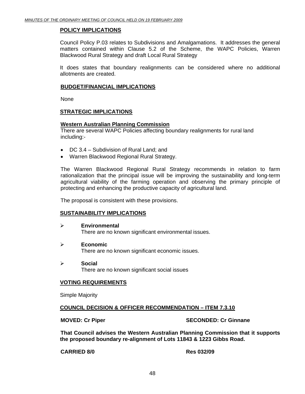# **POLICY IMPLICATIONS**

Council Policy P.03 relates to Subdivisions and Amalgamations. It addresses the general matters contained within Clause 5.2 of the Scheme, the WAPC Policies, Warren Blackwood Rural Strategy and draft Local Rural Strategy

It does states that boundary realignments can be considered where no additional allotments are created.

## **BUDGET/FINANCIAL IMPLICATIONS**

None

# **STRATEGIC IMPLICATIONS**

### **Western Australian Planning Commission**

There are several WAPC Policies affecting boundary realignments for rural land including:-

- DC 3.4 Subdivision of Rural Land; and
- Warren Blackwood Regional Rural Strategy.

The Warren Blackwood Regional Rural Strategy recommends in relation to farm rationalization that the principal issue will be improving the sustainability and long-term agricultural viability of the farming operation and observing the primary principle of protecting and enhancing the productive capacity of agricultural land.

The proposal is consistent with these provisions.

### **SUSTAINABILITY IMPLICATIONS**

- ¾ **Environmental**  There are no known significant environmental issues.
- ¾ **Economic**  There are no known significant economic issues.
- ¾ **Social**  There are no known significant social issues

### **VOTING REQUIREMENTS**

Simple Majority

### **COUNCIL DECISION & OFFICER RECOMMENDATION – ITEM 7.3.10**

### **MOVED: Cr Piper SECONDED: Cr Ginnane**

**That Council advises the Western Australian Planning Commission that it supports the proposed boundary re-alignment of Lots 11843 & 1223 Gibbs Road.** 

**CARRIED 8/0 Res 032/09**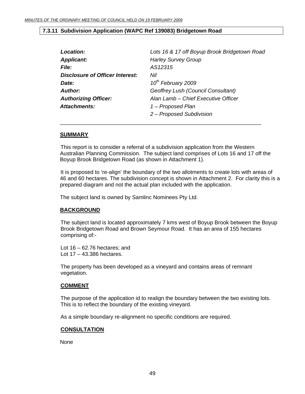### **7.3.11 Subdivision Application (WAPC Ref 139083) Bridgetown Road**

| Location:                       | Lots 16 & 17 off Boyup Brook Bridgetown Road |
|---------------------------------|----------------------------------------------|
| <b>Applicant:</b>               | <b>Harley Survey Group</b>                   |
| <b>File:</b>                    | AS12315                                      |
| Disclosure of Officer Interest: | Nil                                          |
| <i>Date:</i>                    | 10 <sup>th</sup> February 2009               |
| Author:                         | Geoffrey Lush (Council Consultant)           |
| <b>Authorizing Officer:</b>     | Alan Lamb - Chief Executive Officer          |
| Attachments:                    | 1 – Proposed Plan                            |
|                                 | 2 - Proposed Subdivision                     |

 $\overline{\phantom{a}}$  , and the contract of the contract of the contract of the contract of the contract of the contract of the contract of the contract of the contract of the contract of the contract of the contract of the contrac

### **SUMMARY**

This report is to consider a referral of a subdivision application from the Western Australian Planning Commission. The subject land comprises of Lots 16 and 17 off the Boyup Brook Bridgetown Road (as shown in Attachment 1).

It is proposed to 're-align' the boundary of the two allotments to create lots with areas of 46 and 60 hectares. The subdivision concept is shown in Attachment 2. For clarity this is a prepared diagram and not the actual plan included with the application.

The subject land is owned by Samlinc Nominees Pty Ltd.

### **BACKGROUND**

The subject land is located approximately 7 kms west of Boyup Brook between the Boyup Brook Bridgetown Road and Brown Seymour Road. It has an area of 155 hectares comprising of:-

Lot 16 – 62.76 hectares; and Lot 17 – 43.386 hectares.

The property has been developed as a vineyard and contains areas of remnant vegetation.

### **COMMENT**

The purpose of the application id to realign the boundary between the two existing lots. This is to reflect the boundary of the existing vineyard.

As a simple boundary re-alignment no specific conditions are required.

### **CONSULTATION**

None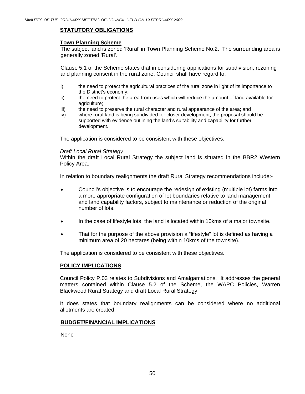# **STATUTORY OBLIGATIONS**

## **Town Planning Scheme**

The subject land is zoned 'Rural' in Town Planning Scheme No.2. The surrounding area is generally zoned 'Rural'.

Clause 5.1 of the Scheme states that in considering applications for subdivision, rezoning and planning consent in the rural zone, Council shall have regard to:

- i) the need to protect the agricultural practices of the rural zone in light of its importance to the District's economy;
- ii) the need to protect the area from uses which will reduce the amount of land available for agriculture;
- iii) the need to preserve the rural character and rural appearance of the area; and
- iv) where rural land is being subdivided for closer development, the proposal should be supported with evidence outlining the land's suitability and capability for further development.

The application is considered to be consistent with these objectives.

### *Draft Local Rural Strategy*

Within the draft Local Rural Strategy the subject land is situated in the BBR2 Western Policy Area.

In relation to boundary realignments the draft Rural Strategy recommendations include:-

- Council's objective is to encourage the redesign of existing (multiple lot) farms into a more appropriate configuration of lot boundaries relative to land management and land capability factors, subject to maintenance or reduction of the original number of lots.
- In the case of lifestyle lots, the land is located within 10kms of a major townsite.
- That for the purpose of the above provision a "lifestyle" lot is defined as having a minimum area of 20 hectares (being within 10kms of the townsite).

The application is considered to be consistent with these objectives.

### **POLICY IMPLICATIONS**

Council Policy P.03 relates to Subdivisions and Amalgamations. It addresses the general matters contained within Clause 5.2 of the Scheme, the WAPC Policies, Warren Blackwood Rural Strategy and draft Local Rural Strategy

It does states that boundary realignments can be considered where no additional allotments are created.

### **BUDGET/FINANCIAL IMPLICATIONS**

None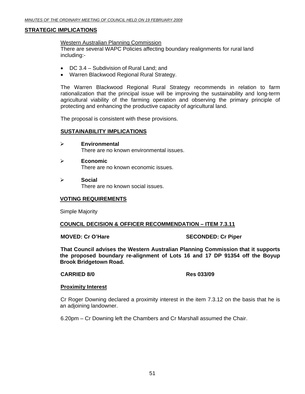# **STRATEGIC IMPLICATIONS**

### Western Australian Planning Commission

There are several WAPC Policies affecting boundary realignments for rural land including:-

- DC 3.4 Subdivision of Rural Land; and
- Warren Blackwood Regional Rural Strategy.

The Warren Blackwood Regional Rural Strategy recommends in relation to farm rationalization that the principal issue will be improving the sustainability and long-term agricultural viability of the farming operation and observing the primary principle of protecting and enhancing the productive capacity of agricultural land.

The proposal is consistent with these provisions.

# **SUSTAINABILITY IMPLICATIONS**

- ¾ **Environmental**  There are no known environmental issues.
- ¾ **Economic**  There are no known economic issues.
- ¾ **Social**  There are no known social issues.

## **VOTING REQUIREMENTS**

Simple Majority

### **COUNCIL DECISION & OFFICER RECOMMENDATION – ITEM 7.3.11**

### **MOVED: Cr O'Hare SECONDED: Cr Piper**

**That Council advises the Western Australian Planning Commission that it supports the proposed boundary re-alignment of Lots 16 and 17 DP 91354 off the Boyup Brook Bridgetown Road.** 

### **CARRIED 8/0 Res 033/09**

### **Proximity Interest**

Cr Roger Downing declared a proximity interest in the item 7.3.12 on the basis that he is an adjoining landowner.

6.20pm – Cr Downing left the Chambers and Cr Marshall assumed the Chair.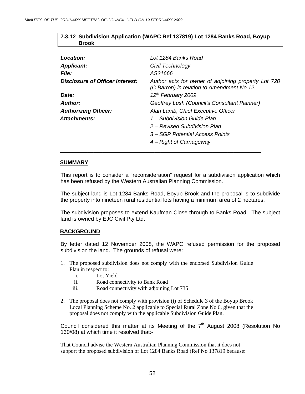# **7.3.12 Subdivision Application (WAPC Ref 137819) Lot 1284 Banks Road, Boyup Brook**

| Location:                       | Lot 1284 Banks Road                                                                               |
|---------------------------------|---------------------------------------------------------------------------------------------------|
| <b>Applicant:</b>               | Civil Technology                                                                                  |
| <b>File:</b>                    | AS21666                                                                                           |
| Disclosure of Officer Interest: | Author acts for owner of adjoining property Lot 720<br>(C Barron) in relation to Amendment No 12. |
| Date:                           | 12 <sup>th</sup> February 2009                                                                    |
| Author:                         | Geoffrey Lush (Council's Consultant Planner)                                                      |
| <b>Authorizing Officer:</b>     | Alan Lamb, Chief Executive Officer                                                                |
| Attachments:                    | 1 – Subdivision Guide Plan                                                                        |
|                                 | 2 – Revised Subdivision Plan                                                                      |
|                                 | 3 – SGP Potential Access Points                                                                   |
|                                 | 4 – Right of Carriageway                                                                          |

### **SUMMARY**

This report is to consider a "reconsideration" request for a subdivision application which has been refused by the Western Australian Planning Commission.

 $\overline{\phantom{a}}$  , and the contract of the contract of the contract of the contract of the contract of the contract of the contract of the contract of the contract of the contract of the contract of the contract of the contrac

The subject land is Lot 1284 Banks Road, Boyup Brook and the proposal is to subdivide the property into nineteen rural residential lots having a minimum area of 2 hectares.

The subdivision proposes to extend Kaufman Close through to Banks Road. The subject land is owned by EJC Civil Pty Ltd.

# **BACKGROUND**

By letter dated 12 November 2008, the WAPC refused permission for the proposed subdivision the land. The grounds of refusal were:

- 1. The proposed subdivision does not comply with the endorsed Subdivision Guide Plan in respect to:
	- i. Lot Yield
	- ii. Road connectivity to Bank Road
	- iii. Road connectivity with adjoining Lot 735
- 2. The proposal does not comply with provision (i) of Schedule 3 of the Boyup Brook Local Planning Scheme No. 2 applicable to Special Rural Zone No 6, given that the proposal does not comply with the applicable Subdivision Guide Plan.

Council considered this matter at its Meeting of the  $7<sup>th</sup>$  August 2008 (Resolution No 130/08) at which time it resolved that:-

That Council advise the Western Australian Planning Commission that it does not support the proposed subdivision of Lot 1284 Banks Road (Ref No 137819 because: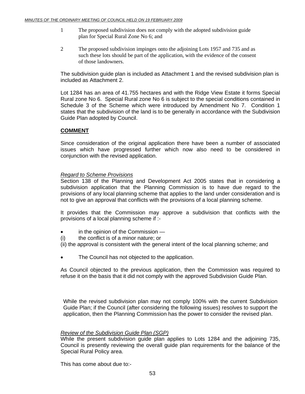- 1 The proposed subdivision does not comply with the adopted subdivision guide plan for Special Rural Zone No 6; and
- 2 The proposed subdivision impinges onto the adjoining Lots 1957 and 735 and as such these lots should be part of the application, with the evidence of the consent of those landowners.

The subdivision guide plan is included as Attachment 1 and the revised subdivision plan is included as Attachment 2.

Lot 1284 has an area of 41.755 hectares and with the Ridge View Estate it forms Special Rural zone No 6. Special Rural zone No 6 is subject to the special conditions contained in Schedule 3 of the Scheme which were introduced by Amendment No 7. Condition 1 states that the subdivision of the land is to be generally in accordance with the Subdivision Guide Plan adopted by Council.

# **COMMENT**

Since consideration of the original application there have been a number of associated issues which have progressed further which now also need to be considered in conjunction with the revised application.

# *Regard to Scheme Provisions*

Section 138 of the Planning and Development Act 2005 states that in considering a subdivision application that the Planning Commission is to have due regard to the provisions of any local planning scheme that applies to the land under consideration and is not to give an approval that conflicts with the provisions of a local planning scheme.

It provides that the Commission may approve a subdivision that conflicts with the provisions of a local planning scheme if :-

- in the opinion of the Commission —
- (i) the conflict is of a minor nature; or
- (ii) the approval is consistent with the general intent of the local planning scheme; and
- The Council has not objected to the application.

As Council objected to the previous application, then the Commission was required to refuse it on the basis that it did not comply with the approved Subdivision Guide Plan.

While the revised subdivision plan may not comply 100% with the current Subdivision Guide Plan; if the Council (after considering the following issues) resolves to support the application, then the Planning Commission has the power to consider the revised plan.

### *Review of the Subdivision Guide Plan (SGP)*

While the present subdivision guide plan applies to Lots 1284 and the adjoining 735, Council is presently reviewing the overall guide plan requirements for the balance of the Special Rural Policy area.

This has come about due to:-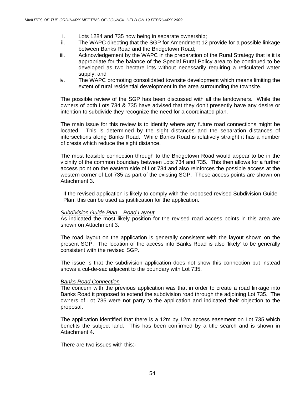- i. Lots 1284 and 735 now being in separate ownership;
- ii. The WAPC directing that the SGP for Amendment 12 provide for a possible linkage between Banks Road and the Bridgetown Road;
- iii. Acknowledgement by the WAPC in the preparation of the Rural Strategy that is it is appropriate for the balance of the Special Rural Policy area to be continued to be developed as two hectare lots without necessarily requiring a reticulated water supply; and
- iv. The WAPC promoting consolidated townsite development which means limiting the extent of rural residential development in the area surrounding the townsite.

The possible review of the SGP has been discussed with all the landowners. While the owners of both Lots 734 & 735 have advised that they don't presently have any desire or intention to subdivide they recognize the need for a coordinated plan.

The main issue for this review is to identify where any future road connections might be located. This is determined by the sight distances and the separation distances of intersections along Banks Road. While Banks Road is relatively straight it has a number of crests which reduce the sight distance.

The most feasible connection through to the Bridgetown Road would appear to be in the vicinity of the common boundary between Lots 734 and 735. This then allows for a further access point on the eastern side of Lot 734 and also reinforces the possible access at the western corner of Lot 735 as part of the existing SGP. These access points are shown on Attachment 3.

If the revised application is likely to comply with the proposed revised Subdivision Guide Plan; this can be used as justification for the application.

# *Subdivision Guide Plan – Road Layout*

As indicated the most likely position for the revised road access points in this area are shown on Attachment 3.

The road layout on the application is generally consistent with the layout shown on the present SGP. The location of the access into Banks Road is also 'likely' to be generally consistent with the revised SGP.

The issue is that the subdivision application does not show this connection but instead shows a cul-de-sac adjacent to the boundary with Lot 735.

# *Banks Road Connection*

The concern with the previous application was that in order to create a road linkage into Banks Road it proposed to extend the subdivision road through the adjoining Lot 735. The owners of Lot 735 were not party to the application and indicated their objection to the proposal.

The application identified that there is a 12m by 12m access easement on Lot 735 which benefits the subject land. This has been confirmed by a title search and is shown in Attachment 4.

There are two issues with this:-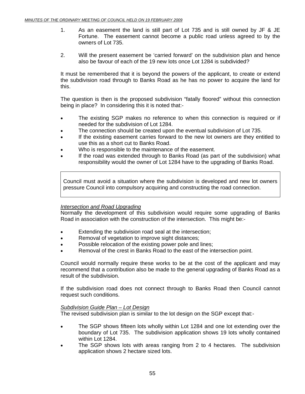- 1. As an easement the land is still part of Lot 735 and is still owned by JF & JE Fortune. The easement cannot become a public road unless agreed to by the owners of Lot 735.
- 2. Will the present easement be 'carried forward' on the subdivision plan and hence also be favour of each of the 19 new lots once Lot 1284 is subdivided?

It must be remembered that it is beyond the powers of the applicant, to create or extend the subdivision road through to Banks Road as he has no power to acquire the land for this.

The question is then is the proposed subdivision "fatally floored" without this connection being in place? In considering this it is noted that:-

- The existing SGP makes no reference to when this connection is required or if needed for the subdivision of Lot 1284.
- The connection should be created upon the eventual subdivision of Lot 735.
- If the existing easement carries forward to the new lot owners are they entitled to use this as a short cut to Banks Road.
- Who is responsible to the maintenance of the easement.
- If the road was extended through to Banks Road (as part of the subdivision) what responsibility would the owner of Lot 1284 have to the upgrading of Banks Road.

Council must avoid a situation where the subdivision is developed and new lot owners pressure Council into compulsory acquiring and constructing the road connection.

# *Intersection and Road Upgrading*

Normally the development of this subdivision would require some upgrading of Banks Road in association with the construction of the intersection. This might be:-

- Extending the subdivision road seal at the intersection;
- Removal of vegetation to improve sight distances;
- Possible relocation of the existing power pole and lines;
- Removal of the crest in Banks Road to the east of the intersection point.

Council would normally require these works to be at the cost of the applicant and may recommend that a contribution also be made to the general upgrading of Banks Road as a result of the subdivision.

If the subdivision road does not connect through to Banks Road then Council cannot request such conditions.

### *Subdivision Guide Plan – Lot Design*

The revised subdivision plan is similar to the lot design on the SGP except that:-

- The SGP shows fifteen lots wholly within Lot 1284 and one lot extending over the boundary of Lot 735. The subdivision application shows 19 lots wholly contained within Lot 1284.
- The SGP shows lots with areas ranging from 2 to 4 hectares. The subdivision application shows 2 hectare sized lots.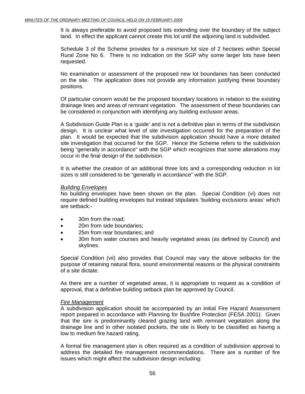It is always preferable to avoid proposed lots extending over the boundary of the subject land. In effect the applicant cannot create this lot until the adjoining land is subdivided.

Schedule 3 of the Scheme provides for a minimum lot size of 2 hectares within Special Rural Zone No 6. There is no indication on the SGP why some larger lots have been requested.

No examination or assessment of the proposed new lot boundaries has been conducted on the site. The application does not provide any information justifying these boundary positions.

Of particular concern would be the proposed boundary locations in relation to the existing drainage lines and areas of remnant vegetation. The assessment of these boundaries can be considered in conjunction with identifying any building exclusion areas.

A Subdivision Guide Plan is a 'guide' and is not a definitive plan in terms of the subdivision design. It is unclear what level of site investigation occurred for the preparation of the plan. It would be expected that the subdivision application should have a more detailed site investigation that occurred for the SGP. Hence the Scheme refers to the subdivision being "generally in accordance" with the SGP which recognizes that some alterations may occur in the final design of the subdivision.

It is whether the creation of an additional three lots and a corresponding reduction in lot sizes is still considered to be "generally in accordance" with the SGP.

### *Building Envelopes*

No building envelopes have been shown on the plan. Special Condition (vi) does not require defined building envelopes but instead stipulates 'building exclusions areas' which are setback:-

- 30m from the road:
- 20m from side boundaries:
- 25m from rear boundaries: and
- 30m from water courses and heavily vegetated areas (as defined by Council) and skylines.

Special Condition (vii) also provides that Council may vary the above setbacks for the purpose of retaining natural flora, sound environmental reasons or the physical constraints of a site dictate.

As there are a number of vegetated areas, it is appropriate to request as a condition of approval, that a definitive building setback plan be approved by Council.

### *Fire Management*

A subdivision application should be accompanied by an initial Fire Hazard Assessment report prepared in accordance with Planning for Bushfire Protection (FESA 2001). Given that the sire is predominantly cleared grazing land with remnant vegetation along the drainage line and in other isolated pockets, the site is likely to be classified as having a low to medium fire hazard rating.

A formal fire management plan is often required as a condition of subdivision approval to address the detailed fire management recommendations. There are a number of fire issues which might affect the subdivision design including: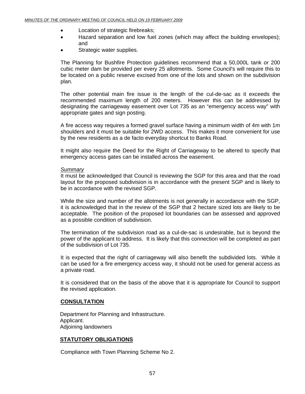- Location of strategic firebreaks;
- Hazard separation and low fuel zones (which may affect the building envelopes); and
- Strategic water supplies.

The Planning for Bushfire Protection guidelines recommend that a 50,000L tank or 200 cubic meter dam be provided per every 25 allotments. Some Council's will require this to be located on a public reserve excised from one of the lots and shown on the subdivision plan.

The other potential main fire issue is the length of the cul-de-sac as it exceeds the recommended maximum length of 200 meters. However this can be addressed by designating the carriageway easement over Lot 735 as an "emergency access way" with appropriate gates and sign posting.

A fire access way requires a formed gravel surface having a minimum width of 4m with 1m shoulders and it must be suitable for 2WD access. This makes it more convenient for use by the new residents as a de facto everyday shortcut to Banks Road.

It might also require the Deed for the Right of Carriageway to be altered to specify that emergency access gates can be installed across the easement.

### *Summary*

It must be acknowledged that Council is reviewing the SGP for this area and that the road layout for the proposed subdivision is in accordance with the present SGP and is likely to be in accordance with the revised SGP.

While the size and number of the allotments is not generally in accordance with the SGP, it is acknowledged that in the review of the SGP that 2 hectare sized lots are likely to be acceptable. The position of the proposed lot boundaries can be assessed and approved as a possible condition of subdivision.

The termination of the subdivision road as a cul-de-sac is undesirable, but is beyond the power of the applicant to address. It is likely that this connection will be completed as part of the subdivision of Lot 735.

It is expected that the right of carriageway will also benefit the subdivided lots. While it can be used for a fire emergency access way, it should not be used for general access as a private road.

It is considered that on the basis of the above that it is appropriate for Council to support the revised application.

# **CONSULTATION**

Department for Planning and Infrastructure. Applicant. Adjoining landowners

# **STATUTORY OBLIGATIONS**

Compliance with Town Planning Scheme No 2.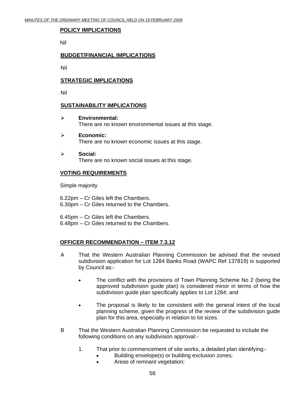# **POLICY IMPLICATIONS**

Nil

# **BUDGET/FINANCIAL IMPLICATIONS**

Nil

# **STRATEGIC IMPLICATIONS**

Nil

### **SUSTAINABILITY IMPLICATIONS**

- ¾ **Environmental:**  There are no known environmental issues at this stage.
- ¾ **Economic:**  There are no known economic issues at this stage.
- ¾ **Social:**  There are no known social issues at this stage.

### **VOTING REQUIREMENTS**

Simple majority

6.22pm – Cr Giles left the Chambers. 6.30pm – Cr Giles returned to the Chambers.

6.45pm – Cr Giles left the Chambers. 6.48pm – Cr Giles returned to the Chambers.

# **OFFICER RECOMMENDATION – ITEM 7.3.12**

- A That the Western Australian Planning Commission be advised that the revised subdivision application for Lot 1284 Banks Road (WAPC Ref 137819) is supported by Council as:-
	- The conflict with the provisions of Town Planning Scheme No 2 (being the approved subdivision guide plan) is considered minor in terms of how the subdivision guide plan specifically applies to Lot 1284; and
	- The proposal is likely to be consistent with the general intent of the local planning scheme, given the progress of the review of the subdivision guide plan for this area, especially in relation to lot sizes.
- B That the Western Australian Planning Commission be requested to include the following conditions on any subdivision approval:-
	- 1. That prior to commencement of site works, a detailed plan identifying:-
		- Building envelope(s) or building exclusion zones;
		- Areas of remnant vegetation;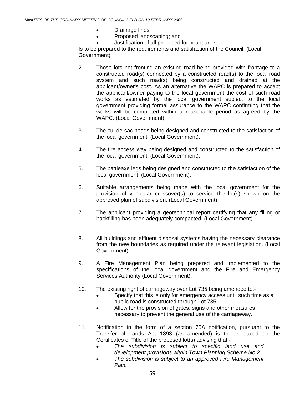- Drainage lines;
- Proposed landscaping; and
	- Justification of all proposed lot boundaries.

Is to be prepared to the requirements and satisfaction of the Council. (Local Government)

- 2. Those lots not fronting an existing road being provided with frontage to a constructed road(s) connected by a constructed road(s) to the local road system and such road(s) being constructed and drained at the applicant/owner's cost. As an alternative the WAPC is prepared to accept the applicant/owner paying to the local government the cost of such road works as estimated by the local government subject to the local government providing formal assurance to the WAPC confirming that the works will be completed within a reasonable period as agreed by the WAPC. (Local Government)
- 3. The cul-de-sac heads being designed and constructed to the satisfaction of the local government. (Local Government).
- 4. The fire access way being designed and constructed to the satisfaction of the local government. (Local Government).
- 5. The battleaxe legs being designed and constructed to the satisfaction of the local government. (Local Government).
- 6. Suitable arrangements being made with the local government for the provision of vehicular crossover(s) to service the lot(s) shown on the approved plan of subdivision. (Local Government)
- 7. The applicant providing a geotechnical report certifying that any filling or backfilling has been adequately compacted. (Local Government)
- 8. All buildings and effluent disposal systems having the necessary clearance from the new boundaries as required under the relevant legislation. (Local Government)
- 9. A Fire Management Plan being prepared and implemented to the specifications of the local government and the Fire and Emergency Services Authority (Local Government).
- 10. The existing right of carriageway over Lot 735 being amended to:-
	- Specify that this is only for emergency access until such time as a public road is constructed through Lot 735.
	- Allow for the provision of gates, signs and other measures necessary to prevent the general use of the carriageway.
- 11. Notification in the form of a section 70A notification, pursuant to the Transfer of Lands Act 1893 (as amended) is to be placed on the Certificates of Title of the proposed lot(s) advising that:-
	- *The subdivision is subject to specific land use and development provisions within Town Planning Scheme No 2.*
	- *The subdivision is subject to an approved Fire Management Plan.*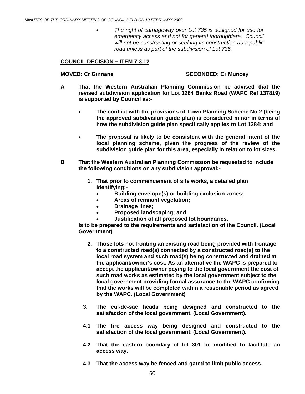• *The right of carriageway over Lot 735 is designed for use for emergency access and not for general thoroughfare. Council will not be constructing or seeking its construction as a public road unless as part of the subdivision of Lot 735.* 

# **COUNCIL DECISION – ITEM 7.3.12**

## **MOVED: Cr Ginnane SECONDED: Cr Muncey**

- **A That the Western Australian Planning Commission be advised that the revised subdivision application for Lot 1284 Banks Road (WAPC Ref 137819) is supported by Council as:-** 
	- **The conflict with the provisions of Town Planning Scheme No 2 (being the approved subdivision guide plan) is considered minor in terms of how the subdivision guide plan specifically applies to Lot 1284; and**
	- **The proposal is likely to be consistent with the general intent of the local planning scheme, given the progress of the review of the subdivision guide plan for this area, especially in relation to lot sizes.**
- **B That the Western Australian Planning Commission be requested to include the following conditions on any subdivision approval:-** 
	- **1. That prior to commencement of site works, a detailed plan identifying:-** 
		- **Building envelope(s) or building exclusion zones;**
		- **Areas of remnant vegetation;**
		- **Drainage lines;**
		- **Proposed landscaping; and**
		- **Justification of all proposed lot boundaries.**

**Is to be prepared to the requirements and satisfaction of the Council. (Local Government)** 

- **2. Those lots not fronting an existing road being provided with frontage to a constructed road(s) connected by a constructed road(s) to the local road system and such road(s) being constructed and drained at the applicant/owner's cost. As an alternative the WAPC is prepared to accept the applicant/owner paying to the local government the cost of such road works as estimated by the local government subject to the local government providing formal assurance to the WAPC confirming that the works will be completed within a reasonable period as agreed by the WAPC. (Local Government)**
- **3. The cul-de-sac heads being designed and constructed to the satisfaction of the local government. (Local Government).**
- **4.1 The fire access way being designed and constructed to the satisfaction of the local government. (Local Government).**
- **4.2 That the eastern boundary of lot 301 be modified to facilitate an access way.**
- **4.3 That the access way be fenced and gated to limit public access.**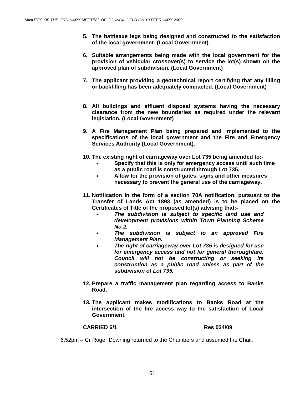- **5. The battleaxe legs being designed and constructed to the satisfaction of the local government. (Local Government).**
- **6. Suitable arrangements being made with the local government for the provision of vehicular crossover(s) to service the lot(s) shown on the approved plan of subdivision. (Local Government)**
- **7. The applicant providing a geotechnical report certifying that any filling or backfilling has been adequately compacted. (Local Government)**
- **8. All buildings and effluent disposal systems having the necessary clearance from the new boundaries as required under the relevant legislation. (Local Government)**
- **9. A Fire Management Plan being prepared and implemented to the specifications of the local government and the Fire and Emergency Services Authority (Local Government).**
- **10. The existing right of carriageway over Lot 735 being amended to:-** 
	- **Specify that this is only for emergency access until such time as a public road is constructed through Lot 735.**
	- **Allow for the provision of gates, signs and other measures necessary to prevent the general use of the carriageway.**
- **11. Notification in the form of a section 70A notification, pursuant to the Transfer of Lands Act 1893 (as amended) is to be placed on the Certificates of Title of the proposed lot(s) advising that:-** 
	- *The subdivision is subject to specific land use and development provisions within Town Planning Scheme No 2.*
	- *The subdivision is subject to an approved Fire Management Plan.*
	- *The right of carriageway over Lot 735 is designed for use for emergency access and not for general thoroughfare. Council will not be constructing or seeking its construction as a public road unless as part of the subdivision of Lot 735.*
- **12. Prepare a traffic management plan regarding access to Banks Road.**
- **13. The applicant makes modifications to Banks Road at the intersection of the fire access way to the satisfaction of Local Government.**

### **CARRIED 6/1 Res 034/09**

6.52pm – Cr Roger Downing returned to the Chambers and assumed the Chair.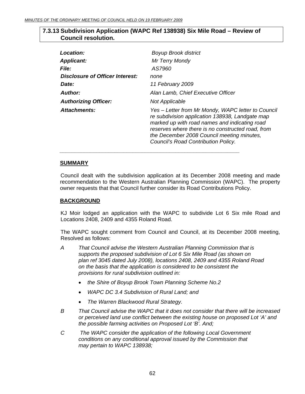# **7.3.13 Subdivision Application (WAPC Ref 138938) Six Mile Road – Review of Council resolution.**

| <b>Location:</b>                       | <b>Boyup Brook district</b>                                                                                                                                                                                                                                                                      |
|----------------------------------------|--------------------------------------------------------------------------------------------------------------------------------------------------------------------------------------------------------------------------------------------------------------------------------------------------|
| <b>Applicant:</b>                      | Mr Terry Mondy                                                                                                                                                                                                                                                                                   |
| <i><b>File:</b></i>                    | AS7960                                                                                                                                                                                                                                                                                           |
| <b>Disclosure of Officer Interest:</b> | none                                                                                                                                                                                                                                                                                             |
| Date:                                  | 11 February 2009                                                                                                                                                                                                                                                                                 |
| <b>Author:</b>                         | Alan Lamb, Chief Executive Officer                                                                                                                                                                                                                                                               |
| <b>Authorizing Officer:</b>            | Not Applicable                                                                                                                                                                                                                                                                                   |
| <b>Attachments:</b>                    | Yes – Letter from Mr Mondy, WAPC letter to Council<br>re subdivision application 138938, Landgate map<br>marked up with road names and indicating road<br>reserves where there is no constructed road, from<br>the December 2008 Council meeting minutes,<br>Council's Road Contribution Policy. |

# **SUMMARY**

 Council dealt with the subdivision application at its December 2008 meeting and made recommendation to the Western Australian Planning Commission (WAPC). The property owner requests that that Council further consider its Road Contributions Policy.

# **BACKGROUND**

KJ Moir lodged an application with the WAPC to subdivide Lot 6 Six mile Road and Locations 2408, 2409 and 4355 Roland Road.

The WAPC sought comment from Council and Council, at its December 2008 meeting, Resolved as follows:

- *A That Council advise the Western Australian Planning Commission that is supports the proposed subdivision of Lot 6 Six Mile Road (as shown on plan ref 3045 dated July 2008), locations 2408, 2409 and 4355 Roland Road on the basis that the application is considered to be consistent the provisions for rural subdivision outlined in:* 
	- *the Shire of Boyup Brook Town Planning Scheme No.2*
	- *WAPC DC 3.4 Subdivision of Rural Land; and*
	- *The Warren Blackwood Rural Strategy.*

 *\_\_\_\_\_\_\_\_\_\_\_\_\_\_\_\_\_\_\_\_\_\_\_\_\_\_\_\_\_\_\_\_\_\_\_\_\_\_\_\_\_\_\_\_\_\_\_\_\_\_\_\_\_\_\_\_\_\_\_* 

- *B That Council advise the WAPC that it does not consider that there will be increased or perceived land use conflict between the existing house on proposed Lot 'A' and the possible farming activities on Proposed Lot 'B'. And;*
- *C The WAPC consider the application of the following Local Government conditions on any conditional approval issued by the Commission that may pertain to WAPC 138938;*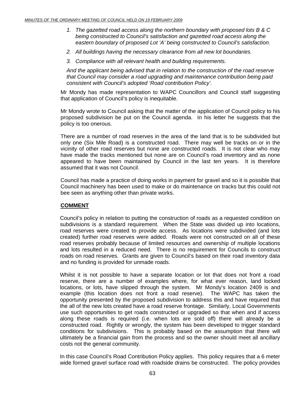- *1. The gazetted road access along the northern boundary with proposed lots B & C being constructed to Council's satisfaction and gazetted road access along the eastern boundary of proposed Lot 'A' being constructed to Council's satisfaction.*
- *2. All buildings having the necessary clearance from all new lot boundaries.*
- *3. Compliance with all relevant health and building requirements.*

*And the applicant being advised that in relation to the construction of the road reserve that Council may consider a road upgrading and maintenance contribution being paid consistent with Council's adopted 'Road contribution Policy'.* 

Mr Mondy has made representation to WAPC Councillors and Council staff suggesting that application of Council's policy is inequitable.

Mr Mondy wrote to Council asking that the matter of the application of Council policy to his proposed subdivision be put on the Council agenda. In his letter he suggests that the policy is too onerous.

There are a number of road reserves in the area of the land that is to be subdivided but only one (Six Mile Road) is a constructed road. There may well be tracks on or in the vicinity of other road reserves but none are constructed roads. It is not clear who may have made the tracks mentioned but none are on Council's road inventory and as none appeared to have been maintained by Council in the last ten years. It is therefore assumed that it was not Council.

Council has made a practice of doing works in payment for gravel and so it is possible that Council machinery has been used to make or do maintenance on tracks but this could not bee seen as anything other than private works.

### **COMMENT**

Council's policy in relation to putting the construction of roads as a requested condition on subdivisions is a standard requirement. When the State was divided up into locations, road reserves were created to provide access. As locations were subdivided (and lots created) further road reserves were added. Roads were not constructed on all of these road reserves probably because of limited resources and ownership of multiple locations and lots resulted in a reduced need. There is no requirement for Councils to construct roads on road reserves. Grants are given to Council's based on their road inventory data and no funding is provided for unmade roads.

Whilst it is not possible to have a separate location or lot that does not front a road reserve, there are a number of examples where, for what ever reason, land locked locations, or lots, have slipped through the system. Mr Mondy's location 2409 is and example (this location does not front a road reserve). The WAPC has taken the opportunity presented by the proposed subdivision to address this and have required that the all of the new lots created have a road reserve frontage. Similarly, Local Governments use such opportunities to get roads constructed or upgraded so that when and if access along these roads is required (i.e. when lots are sold off) there will already be a constructed road. Rightly or wrongly, the system has been developed to trigger standard conditions for subdivisions. This is probably based on the assumption that there will ultimately be a financial gain from the process and so the owner should meet all ancillary costs not the general community.

In this case Council's Road Contribution Policy applies. This policy requires that a 6 meter wide formed gravel surface road with roadside drains be constructed. The policy provides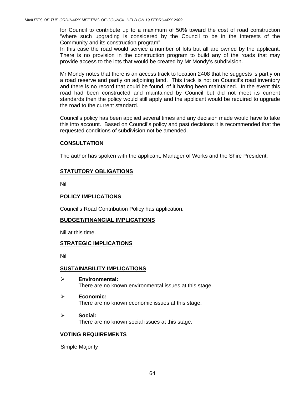for Council to contribute up to a maximum of 50% toward the cost of road construction "where such upgrading is considered by the Council to be in the interests of the Community and its construction program".

In this case the road would service a number of lots but all are owned by the applicant. There is no provision in the construction program to build any of the roads that may provide access to the lots that would be created by Mr Mondy's subdivision.

Mr Mondy notes that there is an access track to location 2408 that he suggests is partly on a road reserve and partly on adjoining land. This track is not on Council's road inventory and there is no record that could be found, of it having been maintained. In the event this road had been constructed and maintained by Council but did not meet its current standards then the policy would still apply and the applicant would be required to upgrade the road to the current standard.

Council's policy has been applied several times and any decision made would have to take this into account. Based on Council's policy and past decisions it is recommended that the requested conditions of subdivision not be amended.

# **CONSULTATION**

The author has spoken with the applicant, Manager of Works and the Shire President.

# **STATUTORY OBLIGATIONS**

Nil

## **POLICY IMPLICATIONS**

Council's Road Contribution Policy has application.

### **BUDGET/FINANCIAL IMPLICATIONS**

Nil at this time.

### **STRATEGIC IMPLICATIONS**

Nil

### **SUSTAINABILITY IMPLICATIONS**

- ¾ **Environmental:**  There are no known environmental issues at this stage.
- ¾ **Economic:**  There are no known economic issues at this stage.
- ¾ **Social:**  There are no known social issues at this stage.

### **VOTING REQUIREMENTS**

Simple Majority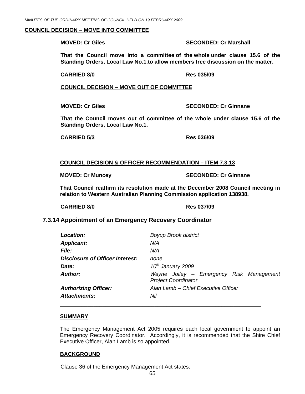### **COUNCIL DECISION – MOVE INTO COMMITTEE**

### **MOVED: Cr Giles SECONDED: Cr Marshall**

**That the Council move into a committee of the whole under clause 15.6 of the Standing Orders, Local Law No.1**.**to allow members free discussion on the matter.** 

**CARRIED 8/0 Res 035/09** 

**COUNCIL DECISION – MOVE OUT OF COMMITTEE**

**MOVED: Cr Giles SECONDED: Cr Ginnane** 

**That the Council moves out of committee of the whole under clause 15.6 of the Standing Orders, Local Law No.1.** 

**CARRIED 5/3 Res 036/09** 

# **COUNCIL DECISION & OFFICER RECOMMENDATION – ITEM 7.3.13**

**MOVED: Cr Muncey SECONDED: Cr Ginnane** 

**That Council reaffirm its resolution made at the December 2008 Council meeting in relation to Western Australian Planning Commission application 138938.** 

 **CARRIED 8/0 Res 037/09** 

# **7.3.14 Appointment of an Emergency Recovery Coordinator**

| Location:                       | <b>Boyup Brook district</b>                                            |
|---------------------------------|------------------------------------------------------------------------|
| <b>Applicant:</b>               | N/A                                                                    |
| <i>File:</i>                    | N/A                                                                    |
| Disclosure of Officer Interest: | none                                                                   |
| Date:                           | 10 <sup>th</sup> January 2009                                          |
| Author:                         | Wayne Jolley - Emergency Risk Management<br><b>Project Coordinator</b> |
| <b>Authorizing Officer:</b>     | Alan Lamb - Chief Executive Officer                                    |
| <b>Attachments:</b>             | Nil                                                                    |
|                                 |                                                                        |

### **SUMMARY**

The Emergency Management Act 2005 requires each local government to appoint an Emergency Recovery Coordinator. Accordingly, it is recommended that the Shire Chief Executive Officer, Alan Lamb is so appointed.

### **BACKGROUND**

Clause 36 of the Emergency Management Act states: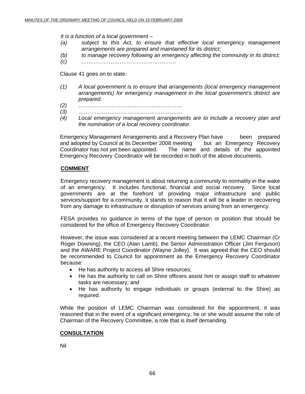*It is a function of a local government –* 

- *(a) subject to this Act, to ensure that effective local emergency management arrangements are prepared and maintained for its district;*
- *(b) to manage recovery following an emergency affecting the community in its district;*
- *(c) …………………………………………….*

Clause 41 goes on to state:

- *(1) A local government is to ensure that arrangements (local emergency management arrangements) for emergency management in the local government's district are prepared.*
- *(2) …………………………………………………*
- *(3) …………………………………………………*
- *(4) Local emergency management arrangements are to include a recovery plan and the nomination of a local recovery coordinator.*

Emergency Management Arrangements and a Recovery Plan have been prepared and adopted by Council at its December 2008 meeting but an Emergency Recovery Coordinator has not yet been appointed. The name and details of the appointed Emergency Recovery Coordinator will be recorded in both of the above documents.

# **COMMENT**

Emergency recovery management is about returning a community to normality in the wake of an emergency. It includes functional, financial and social recovery. Since local governments are at the forefront of providing major infrastructure and public services/support for a community, it stands to reason that it will be a leader in recovering from any damage to infrastructure or disruption of services arising from an emergency.

FESA provides no guidance in terms of the type of person or position that should be considered for the office of Emergency Recovery Coordinator.

However, the issue was considered at a recent meeting between the LEMC Chairman (Cr Roger Downing), the CEO (Alan Lamb), the Senior Administration Officer (Jim Ferguson) and the AWARE Project Coordinator (Wayne Jolley). It was agreed that the CEO should be recommended to Council for appointment as the Emergency Recovery Coordinator because:

- He has authority to access all Shire resources;
- He has the authority to call on Shire officers assist him or assign staff to whatever tasks are necessary; and
- He has authority to engage individuals or groups (external to the Shire) as required.

While the position of LEMC Chairman was considered for the appointment, it was reasoned that in the event of a significant emergency, he or she would assume the role of Chairman of the Recovery Committee, a role that is itself demanding.

# **CONSULTATION**

Nil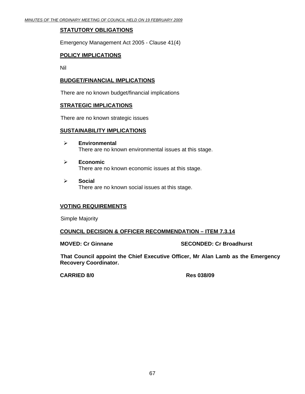# **STATUTORY OBLIGATIONS**

Emergency Management Act 2005 - Clause 41(4)

# **POLICY IMPLICATIONS**

Nil

# **BUDGET/FINANCIAL IMPLICATIONS**

There are no known budget/financial implications

### **STRATEGIC IMPLICATIONS**

There are no known strategic issues

### **SUSTAINABILITY IMPLICATIONS**

- ¾ **Environmental**  There are no known environmental issues at this stage.
- ¾ **Economic**  There are no known economic issues at this stage.
- ¾ **Social**  There are no known social issues at this stage.

# **VOTING REQUIREMENTS**

Simple Majority

# **COUNCIL DECISION & OFFICER RECOMMENDATION – ITEM 7.3.14**

**MOVED: Cr Ginnane SECONDED: Cr Broadhurst** 

**That Council appoint the Chief Executive Officer, Mr Alan Lamb as the Emergency Recovery Coordinator.** 

**CARRIED 8/0 Res 038/09**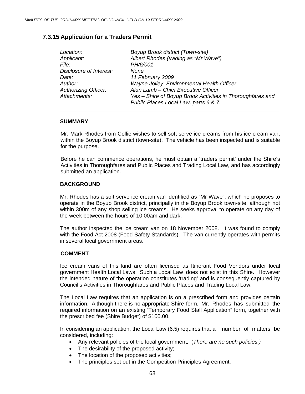# **7.3.15 Application for a Traders Permit**

| Location:<br>Applicant:     | Boyup Brook district (Town-site)<br>Albert Rhodes (trading as "Mr Wave") |
|-----------------------------|--------------------------------------------------------------------------|
| File:                       | PH/6/001                                                                 |
| Disclosure of Interest:     | None                                                                     |
| Date:                       | 11 February 2009                                                         |
| Author:                     | Wayne Jolley Environmental Health Officer                                |
| <b>Authorizing Officer:</b> | Alan Lamb - Chief Executive Officer                                      |
| Attachments:                | Yes - Shire of Boyup Brook Activities in Thoroughfares and               |
|                             | Public Places Local Law, parts 6 & 7.                                    |
|                             |                                                                          |

# **SUMMARY**

Mr. Mark Rhodes from Collie wishes to sell soft serve ice creams from his ice cream van, within the Boyup Brook district (town-site). The vehicle has been inspected and is suitable for the purpose.

Before he can commence operations, he must obtain a 'traders permit' under the Shire's Activities in Thoroughfares and Public Places and Trading Local Law, and has accordingly submitted an application.

# **BACKGROUND**

Mr. Rhodes has a soft serve ice cream van identified as "Mr Wave", which he proposes to operate in the Boyup Brook district, principally in the Boyup Brook town-site, although not within 300m of any shop selling ice creams. He seeks approval to operate on any day of the week between the hours of 10.00am and dark.

The author inspected the ice cream van on 18 November 2008. It was found to comply with the Food Act 2008 (Food Safety Standards). The van currently operates with permits in several local government areas.

### **COMMENT**

Ice cream vans of this kind are often licensed as Itinerant Food Vendors under local government Health Local Laws. Such a Local Law does not exist in this Shire. However the intended nature of the operation constitutes 'trading' and is consequently captured by Council's Activities in Thoroughfares and Public Places and Trading Local Law.

The Local Law requires that an application is on a prescribed form and provides certain information. Although there is no appropriate Shire form, Mr. Rhodes has submitted the required information on an existing 'Temporary Food Stall Application" form, together with the prescribed fee (Shire Budget) of \$100.00.

In considering an application, the Local Law (6.5) requires that a number of matters be considered, including:

- Any relevant policies of the local government; (*There are no such policies.)*
- The desirability of the proposed activity;
- The location of the proposed activities;
- The principles set out in the Competition Principles Agreement.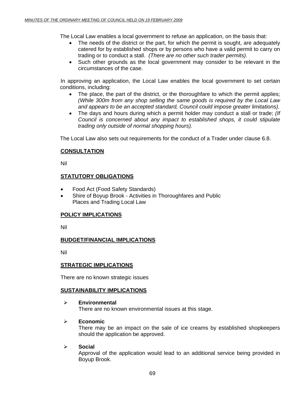The Local Law enables a local government to refuse an application, on the basis that:

- The needs of the district or the part, for which the permit is sought, are adequately catered for by established shops or by persons who have a valid permit to carry on trading or to conduct a stall. *(There are no other such trader permits).*
- Such other grounds as the local government may consider to be relevant in the circumstances of the case.

 In approving an application, the Local Law enables the local government to set certain conditions, including:

- The place, the part of the district, or the thoroughfare to which the permit applies; *(While 300m from any shop selling the same goods is required by the Local Law and appears to be an accepted standard, Council could impose greater limitations).*
- The days and hours during which a permit holder may conduct a stall or trade; *(If Council is concerned about any impact to established shops, it could stipulate trading only outside of normal shopping hours).*

The Local Law also sets out requirements for the conduct of a Trader under clause 6.8.

# **CONSULTATION**

Nil

# **STATUTORY OBLIGATIONS**

- Food Act (Food Safety Standards)
- Shire of Boyup Brook Activities in Thoroughfares and Public Places and Trading Local Law

# **POLICY IMPLICATIONS**

Nil

# **BUDGET/FINANCIAL IMPLICATIONS**

Nil

# **STRATEGIC IMPLICATIONS**

There are no known strategic issues

# **SUSTAINABILITY IMPLICATIONS**

¾ **Environmental**  There are no known environmental issues at this stage.

# ¾ **Economic**

There may be an impact on the sale of ice creams by established shopkeepers should the application be approved.

# ¾ **Social**

Approval of the application would lead to an additional service being provided in Boyup Brook.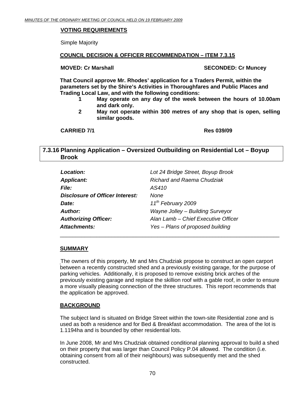# **VOTING REQUIREMENTS**

Simple Majority

# **COUNCIL DECISION & OFFICER RECOMMENDATION – ITEM 7.3.15**

# **MOVED: Cr Marshall SECONDED: Cr Muncey**  SECONDED: Cr Muncey

**That Council approve Mr. Rhodes' application for a Traders Permit, within the parameters set by the Shire's Activities in Thoroughfares and Public Places and Trading Local Law, and with the following conditions:** 

- **1 May operate on any day of the week between the hours of 10.00am and dark only.**
- **2 May not operate within 300 metres of any shop that is open, selling similar goods.**

**CARRIED 7/1 Res 039/09** 

# **7.3.16 Planning Application – Oversized Outbuilding on Residential Lot – Boyup Brook**

| Location:                       | Lot 24 Bridge Street, Boyup Brook   |
|---------------------------------|-------------------------------------|
| <b>Applicant:</b>               | Richard and Raema Chudziak          |
| <b>File:</b>                    | AS410                               |
| Disclosure of Officer Interest: | None                                |
| Date:                           | 11 <sup>th</sup> February 2009      |
| Author:                         | Wayne Jolley - Building Surveyor    |
| <b>Authorizing Officer:</b>     | Alan Lamb - Chief Executive Officer |
| Attachments:                    | Yes - Plans of proposed building    |

# **SUMMARY**

The owners of this property, Mr and Mrs Chudziak propose to construct an open carport between a recently constructed shed and a previously existing garage, for the purpose of parking vehicles. Additionally, it is proposed to remove existing brick arches of the previously existing garage and replace the skillion roof with a gable roof, in order to ensure a more visually pleasing connection of the three structures. This report recommends that the application be approved.

\_\_\_\_\_\_\_\_\_\_\_\_\_\_\_\_\_\_\_\_\_\_\_\_\_\_\_\_\_\_\_\_\_\_\_\_\_\_\_\_\_\_\_\_\_\_\_\_\_\_\_\_\_\_\_\_\_\_\_\_\_\_\_\_\_\_\_\_\_\_\_\_

# **BACKGROUND**

The subject land is situated on Bridge Street within the town-site Residential zone and is used as both a residence and for Bed & Breakfast accommodation. The area of the lot is 1.1194ha and is bounded by other residential lots.

In June 2008, Mr and Mrs Chudziak obtained conditional planning approval to build a shed on their property that was larger than Council Policy P.04 allowed. The condition (i.e. obtaining consent from all of their neighbours) was subsequently met and the shed constructed.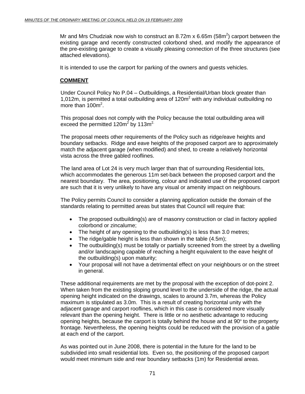Mr and Mrs Chudziak now wish to construct an 8.72m x 6.65m (58m<sup>2</sup>) carport between the existing garage and recently constructed colorbond shed, and modify the appearance of the pre-existing garage to create a visually pleasing connection of the three structures (see attached elevations).

It is intended to use the carport for parking of the owners and guests vehicles.

# **COMMENT**

Under Council Policy No P.04 – Outbuildings, a Residential/Urban block greater than 1,012m, is permitted a total outbuilding area of  $120m^2$  with any individual outbuilding no more than 100m<sup>2</sup>.

This proposal does not comply with the Policy because the total outbuilding area will exceed the permitted 120m<sup>2</sup> by 113m<sup>2</sup>

The proposal meets other requirements of the Policy such as ridge/eave heights and boundary setbacks. Ridge and eave heights of the proposed carport are to approximately match the adjacent garage (when modified) and shed, to create a relatively horizontal vista across the three gabled rooflines.

The land area of Lot 24 is very much larger than that of surrounding Residential lots, which accommodates the generous 11m set-back between the proposed carport and the nearest boundary. The area, positioning, colour and indicated use of the proposed carport are such that it is very unlikely to have any visual or amenity impact on neighbours.

The Policy permits Council to consider a planning application outside the domain of the standards relating to permitted areas but states that Council will require that:

- The proposed outbuilding(s) are of masonry construction or clad in factory applied colorbond or zincalume;
- The height of any opening to the outbuilding(s) is less than 3.0 metres;
- The ridge/gable height is less than shown in the table (4.5m);
- The outbuilding(s) must be totally or partially screened from the street by a dwelling and/or landscaping capable of reaching a height equivalent to the eave height of the outbuilding(s) upon maturity;
- Your proposal will not have a detrimental effect on your neighbours or on the street in general.

These additional requirements are met by the proposal with the exception of dot-point 2. When taken from the existing sloping ground level to the underside of the ridge, the actual opening height indicated on the drawings, scales to around 3.7m, whereas the Policy maximum is stipulated as 3.0m. This is a result of creating horizontal unity with the adjacent garage and carport rooflines, which in this case is considered more visually relevant than the opening height. There is little or no aesthetic advantage to reducing opening heights, because the carport is totally behind the house and at 90º to the property frontage. Nevertheless, the opening heights could be reduced with the provision of a gable at each end of the carport.

As was pointed out in June 2008, there is potential in the future for the land to be subdivided into small residential lots. Even so, the positioning of the proposed carport would meet minimum side and rear boundary setbacks (1m) for Residential areas.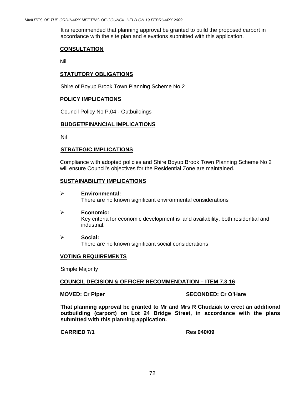It is recommended that planning approval be granted to build the proposed carport in accordance with the site plan and elevations submitted with this application.

## **CONSULTATION**

Nil

# **STATUTORY OBLIGATIONS**

Shire of Boyup Brook Town Planning Scheme No 2

# **POLICY IMPLICATIONS**

Council Policy No P.04 - Outbuildings

# **BUDGET/FINANCIAL IMPLICATIONS**

Nil

# **STRATEGIC IMPLICATIONS**

Compliance with adopted policies and Shire Boyup Brook Town Planning Scheme No 2 will ensure Council's objectives for the Residential Zone are maintained.

### **SUSTAINABILITY IMPLICATIONS**

- ¾ **Environmental:**  There are no known significant environmental considerations
- ¾ **Economic:**  Key criteria for economic development is land availability, both residential and industrial.
- ¾ **Social:**  There are no known significant social considerations

### **VOTING REQUIREMENTS**

Simple Majority

### **COUNCIL DECISION & OFFICER RECOMMENDATION – ITEM 7.3.16**

### **MOVED: Cr Piper SECONDED: Cr O'Hare**

**That planning approval be granted to Mr and Mrs R Chudziak to erect an additional outbuilding (carport) on Lot 24 Bridge Street, in accordance with the plans submitted with this planning application.** 

**CARRIED 7/1 Res 040/09**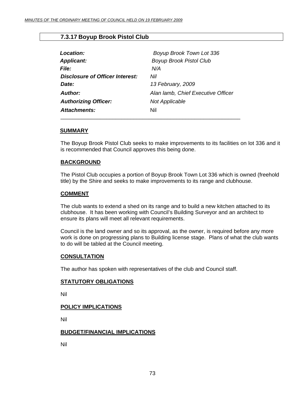# **7.3.17 Boyup Brook Pistol Club**

| Location:                       | Boyup Brook Town Lot 336           |
|---------------------------------|------------------------------------|
| <b>Applicant:</b>               | <b>Boyup Brook Pistol Club</b>     |
| <i>File:</i>                    | N/A                                |
| Disclosure of Officer Interest: | Nil                                |
| Date:                           | 13 February, 2009                  |
| Author:                         | Alan lamb, Chief Executive Officer |
| <b>Authorizing Officer:</b>     | Not Applicable                     |
| Attachments:                    | Nil                                |
|                                 |                                    |

#### **SUMMARY**

The Boyup Brook Pistol Club seeks to make improvements to its facilities on lot 336 and it is recommended that Council approves this being done.

#### **BACKGROUND**

The Pistol Club occupies a portion of Boyup Brook Town Lot 336 which is owned (freehold title) by the Shire and seeks to make improvements to its range and clubhouse.

#### **COMMENT**

The club wants to extend a shed on its range and to build a new kitchen attached to its clubhouse. It has been working with Council's Building Surveyor and an architect to ensure its plans will meet all relevant requirements.

Council is the land owner and so its approval, as the owner, is required before any more work is done on progressing plans to Building license stage. Plans of what the club wants to do will be tabled at the Council meeting.

#### **CONSULTATION**

The author has spoken with representatives of the club and Council staff.

#### **STATUTORY OBLIGATIONS**

Nil

#### **POLICY IMPLICATIONS**

Nil

#### **BUDGET/FINANCIAL IMPLICATIONS**

Nil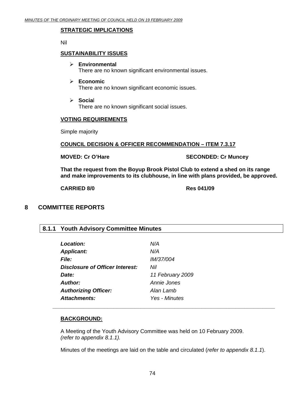# **STRATEGIC IMPLICATIONS**

Nil

#### **SUSTAINABILITY ISSUES**

- ¾ **Environmental**  There are no known significant environmental issues.
- ¾ **Economic**  There are no known significant economic issues.
- ¾ **Socia**l There are no known significant social issues.

#### **VOTING REQUIREMENTS**

Simple majority

#### **COUNCIL DECISION & OFFICER RECOMMENDATION – ITEM 7.3.17**

**MOVED: Cr O'Hare SECONDED: Cr Muncey** 

**That the request from the Boyup Brook Pistol Club to extend a shed on its range and make improvements to its clubhouse, in line with plans provided, be approved.** 

**CARRIED 8/0 Res 041/09** 

# **8 COMMITTEE REPORTS**

# **8.1.1 Youth Advisory Committee Minutes**

| Location:                       | N/A              |
|---------------------------------|------------------|
| <b>Applicant:</b>               | N/A              |
| <b>File:</b>                    | <i>IM/37/004</i> |
| Disclosure of Officer Interest: | Nil              |
| Date:                           | 11 February 2009 |
| <b>Author:</b>                  | Annie Jones      |
| <b>Authorizing Officer:</b>     | Alan Lamb        |
| <b>Attachments:</b>             | Yes - Minutes    |
|                                 |                  |

#### **BACKGROUND:**

A Meeting of the Youth Advisory Committee was held on 10 February 2009. *(refer to appendix 8.1.1).* 

 *\_\_\_\_\_\_\_\_\_\_\_\_\_\_\_\_\_\_\_\_\_\_\_\_\_\_\_\_\_\_\_\_\_\_\_\_\_\_\_\_\_\_\_\_\_\_\_\_\_\_\_\_\_\_\_\_\_\_\_\_\_\_\_\_\_\_\_\_\_\_\_\_\_* 

Minutes of the meetings are laid on the table and circulated (*refer to appendix 8.1.1*).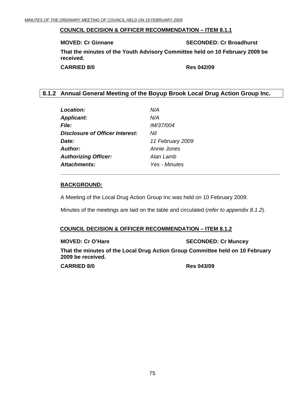#### **COUNCIL DECISION & OFFICER RECOMMENDATION – ITEM 8.1.1**

**MOVED: Cr Ginnane SECONDED: Cr Broadhurst**  SECONDED: Cr Broadhurst

**That the minutes of the Youth Advisory Committee held on 10 February 2009 be received.** 

**CARRIED 8/0 Res 042/09** 

# **8.1.2 Annual General Meeting of the Boyup Brook Local Drug Action Group Inc.**

| <b>Location:</b>                | N/A              |
|---------------------------------|------------------|
| <b>Applicant:</b>               | N/A              |
| <i><b>File:</b></i>             | <i>IM/37/004</i> |
| Disclosure of Officer Interest: | Nil              |
| Date:                           | 11 February 2009 |
| <b>Author:</b>                  | Annie Jones      |
| <b>Authorizing Officer:</b>     | Alan Lamb        |
| <b>Attachments:</b>             | Yes - Minutes    |
|                                 |                  |

# **BACKGROUND:**

A Meeting of the Local Drug Action Group Inc was held on 10 February 2009.

 *\_\_\_\_\_\_\_\_\_\_\_\_\_\_\_\_\_\_\_\_\_\_\_\_\_\_\_\_\_\_\_\_\_\_\_\_\_\_\_\_\_\_\_\_\_\_\_\_\_\_\_\_\_\_\_\_\_\_\_\_\_\_\_\_\_\_\_\_\_\_\_\_* 

Minutes of the meetings are laid on the table and circulated (*refer to appendix 8.1.2*).

#### **COUNCIL DECISION & OFFICER RECOMMENDATION – ITEM 8.1.2**

**MOVED: Cr O'Hare SECONDED: Cr Muncey** 

**That the minutes of the Local Drug Action Group Committee held on 10 February 2009 be received.** 

**CARRIED 8/0 Res 043/09**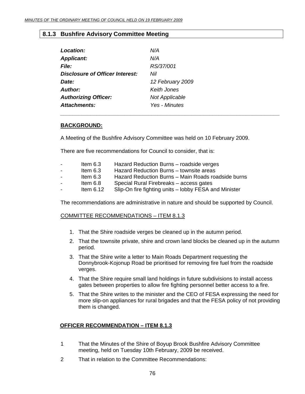# **8.1.3 Bushfire Advisory Committee Meeting**

| Location:                       | N/A                   |
|---------------------------------|-----------------------|
| <b>Applicant:</b>               | N/A                   |
| <b>File:</b>                    | RS/37/001             |
| Disclosure of Officer Interest: | Nil                   |
| Date:                           | 12 February 2009      |
| Author:                         | Keith Jones           |
| <b>Authorizing Officer:</b>     | <b>Not Applicable</b> |
| Attachments:                    | Yes - Minutes         |

#### **BACKGROUND:**

A Meeting of the Bushfire Advisory Committee was held on 10 February 2009.

 *\_\_\_\_\_\_\_\_\_\_\_\_\_\_\_\_\_\_\_\_\_\_\_\_\_\_\_\_\_\_\_\_\_\_\_\_\_\_\_\_\_\_\_\_\_\_\_\_\_\_\_\_\_\_\_\_\_\_\_\_\_\_\_\_\_\_\_\_\_\_\_\_* 

There are five recommendations for Council to consider, that is:

| $\sim$ | Item $6.3$  | Hazard Reduction Burns - roadside verges              |
|--------|-------------|-------------------------------------------------------|
| $\sim$ | Item $6.3$  | Hazard Reduction Burns – townsite areas               |
| $\sim$ | Item $6.3$  | Hazard Reduction Burns - Main Roads roadside burns    |
| $\sim$ | Item 6.8    | Special Rural Firebreaks – access gates               |
| $\sim$ | Item $6.12$ | Slip-On fire fighting units - lobby FESA and Minister |

The recommendations are administrative in nature and should be supported by Council.

# COMMITTEE RECOMMENDATIONS – ITEM 8.1.3

- 1. That the Shire roadside verges be cleaned up in the autumn period.
- 2. That the townsite private, shire and crown land blocks be cleaned up in the autumn period.
- 3. That the Shire write a letter to Main Roads Department requesting the Donnybrook-Kojonup Road be prioritised for removing fire fuel from the roadside verges.
- 4. That the Shire require small land holdings in future subdivisions to install access gates between properties to allow fire fighting personnel better access to a fire.
- 5. That the Shire writes to the minister and the CEO of FESA expressing the need for more slip-on appliances for rural brigades and that the FESA policy of not providing them is changed.

# **OFFICER RECOMMENDATION – ITEM 8.1.3**

- 1 That the Minutes of the Shire of Boyup Brook Bushfire Advisory Committee meeting, held on Tuesday 10th February, 2009 be received.
- 2 That in relation to the Committee Recommendations: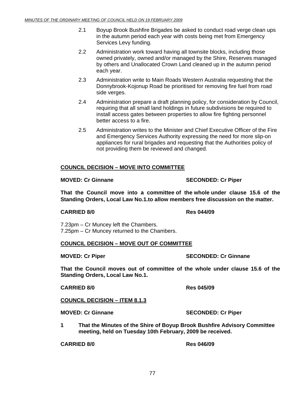- 2.1 Boyup Brook Bushfire Brigades be asked to conduct road verge clean ups in the autumn period each year with costs being met from Emergency Services Levy funding.
- 2.2 Administration work toward having all townsite blocks, including those owned privately, owned and/or managed by the Shire, Reserves managed by others and Unallocated Crown Land cleaned up in the autumn period each year.
- 2.3 Administration write to Main Roads Western Australia requesting that the Donnybrook-Kojonup Road be prioritised for removing fire fuel from road side verges.
- 2.4 Administration prepare a draft planning policy, for consideration by Council, requiring that all small land holdings in future subdivisions be required to install access gates between properties to allow fire fighting personnel better access to a fire.
- 2.5 Administration writes to the Minister and Chief Executive Officer of the Fire and Emergency Services Authority expressing the need for more slip-on appliances for rural brigades and requesting that the Authorities policy of not providing them be reviewed and changed.

# **COUNCIL DECISION – MOVE INTO COMMITTEE**

#### **MOVED: Cr Ginnane SECONDED: Cr Piper**

**That the Council move into a committee of the whole under clause 15.6 of the Standing Orders, Local Law No.1.to allow members free discussion on the matter.** 

# **CARRIED 8/0 Res 044/09**

 7.23pm – Cr Muncey left the Chambers. 7.25pm – Cr Muncey returned to the Chambers.

# **COUNCIL DECISION – MOVE OUT OF COMMITTEE**

**MOVED: Cr Piper SECONDED: Cr Ginnane** 

**That the Council moves out of committee of the whole under clause 15.6 of the Standing Orders, Local Law No.1.** 

#### **CARRIED 8/0 Res 045/09**

# **COUNCIL DECISION – ITEM 8.1.3**

**MOVED: Cr Ginnane SECONDED: Cr Piper** 

**1 That the Minutes of the Shire of Boyup Brook Bushfire Advisory Committee meeting, held on Tuesday 10th February, 2009 be received.** 

**CARRIED 8/0 Res 046/09**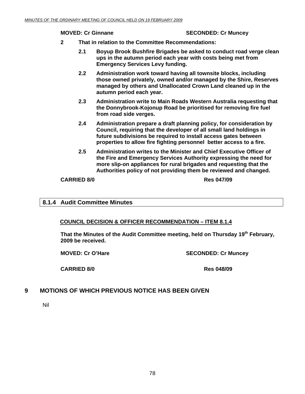#### **MOVED: Cr Ginnane SECONDED: Cr Muncey**

- **2 That in relation to the Committee Recommendations:** 
	- **2.1 Boyup Brook Bushfire Brigades be asked to conduct road verge clean ups in the autumn period each year with costs being met from Emergency Services Levy funding.**
	- **2.2 Administration work toward having all townsite blocks, including those owned privately, owned and/or managed by the Shire, Reserves managed by others and Unallocated Crown Land cleaned up in the autumn period each year.**
	- **2.3 Administration write to Main Roads Western Australia requesting that the Donnybrook-Kojonup Road be prioritised for removing fire fuel from road side verges.**
	- **2.4 Administration prepare a draft planning policy, for consideration by Council, requiring that the developer of all small land holdings in future subdivisions be required to install access gates between properties to allow fire fighting personnel better access to a fire.**
	- **2.5 Administration writes to the Minister and Chief Executive Officer of the Fire and Emergency Services Authority expressing the need for more slip-on appliances for rural brigades and requesting that the Authorities policy of not providing them be reviewed and changed.**

#### **CARRIED 8/0 Res 047/09**

# **8.1.4 Audit Committee Minutes**

# **COUNCIL DECISION & OFFICER RECOMMENDATION – ITEM 8.1.4**

That the Minutes of the Audit Committee meeting, held on Thursday 19<sup>th</sup> February, **2009 be received.** 

**MOVED: Cr O'Hare SECONDED: Cr Muncey** 

**CARRIED 8/0 Res 048/09** 

# **9 MOTIONS OF WHICH PREVIOUS NOTICE HAS BEEN GIVEN**

Nil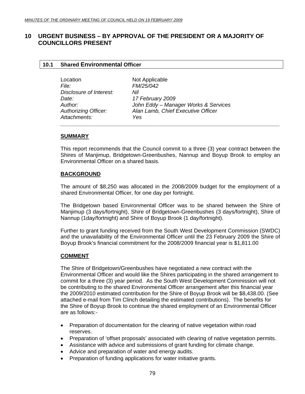# **10 URGENT BUSINESS – BY APPROVAL OF THE PRESIDENT OR A MAJORITY OF COUNCILLORS PRESENT**

#### **10.1 Shared Environmental Officer**

| Location                    | Not Applicable                       |  |
|-----------------------------|--------------------------------------|--|
| <i>File:</i>                | <i>FM/25/042</i>                     |  |
| Disclosure of Interest:     | Nil                                  |  |
| Date:                       | 17 February 2009                     |  |
| Author:                     | John Eddy - Manager Works & Services |  |
| <b>Authorizing Officer:</b> | Alan Lamb, Chief Executive Officer   |  |
| Attachments:                | Yes                                  |  |
|                             |                                      |  |

#### **SUMMARY**

This report recommends that the Council commit to a three (3) year contract between the Shires of Manjimup, Bridgetown-Greenbushes, Nannup and Boyup Brook to employ an Environmental Officer on a shared basis.

#### **BACKGROUND**

The amount of \$8,250 was allocated in the 2008/2009 budget for the employment of a shared Environmental Officer, for one day per fortnight.

The Bridgetown based Environmental Officer was to be shared between the Shire of Manjimup (3 days/fortnight), Shire of Bridgetown-Greenbushes (3 days/fortnight), Shire of Nannup (1day/fortnight) and Shire of Boyup Brook (1 day/fortnight).

Further to grant funding received from the South West Development Commission (SWDC) and the unavailability of the Environmental Officer until the 23 February 2009 the Shire of Boyup Brook's financial commitment for the 2008/2009 financial year is \$1,811.00

#### **COMMENT**

The Shire of Bridgetown/Greenbushes have negotiated a new contract with the Environmental Officer and would like the Shires participating in the shared arrangement to commit for a three (3) year period. As the South West Development Commission will not be contributing to the shared Environmental Officer arrangement after this financial year the 2009/2010 estimated contribution for the Shire of Boyup Brook will be \$8,438.00. (See attached e-mail from Tim Clinch detailing the estimated contributions). The benefits for the Shire of Boyup Brook to continue the shared employment of an Environmental Officer are as follows:-

- Preparation of documentation for the clearing of native vegetation within road reserves.
- Preparation of 'offset proposals' associated with clearing of native vegetation permits.
- Assistance with advice and submissions of grant funding for climate change.
- Advice and preparation of water and energy audits.
- Preparation of funding applications for water initiative grants.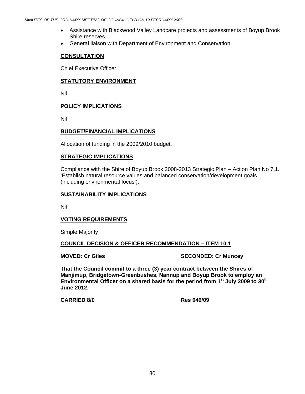- Assistance with Blackwood Valley Landcare projects and assessments of Boyup Brook Shire reserves.
- General liaison with Department of Environment and Conservation.

#### **CONSULTATION**

Chief Executive Officer

#### **STATUTORY ENVIRONMENT**

Nil

# **POLICY IMPLICATIONS**

Nil

# **BUDGET/FINANCIAL IMPLICATIONS**

Allocation of funding in the 2009/2010 budget.

#### **STRATEGIC IMPLICATIONS**

Compliance with the Shire of Boyup Brook 2008-2013 Strategic Plan – Action Plan No 7.1. 'Establish natural resource values and balanced conservation/development goals (including environmental focus').

#### **SUSTAINABILITY IMPLICATIONS**

Nil

# **VOTING REQUIREMENTS**

Simple Majority

# **COUNCIL DECISION & OFFICER RECOMMENDATION – ITEM 10.1**

**MOVED: Cr Giles SECONDED: Cr Muncey** 

**That the Council commit to a three (3) year contract between the Shires of Manjimup, Bridgetown-Greenbushes, Nannup and Boyup Brook to employ an**  Environmental Officer on a shared basis for the period from 1<sup>st</sup> July 2009 to 30<sup>th</sup> **June 2012.** 

**CARRIED 8/0 Res 049/09**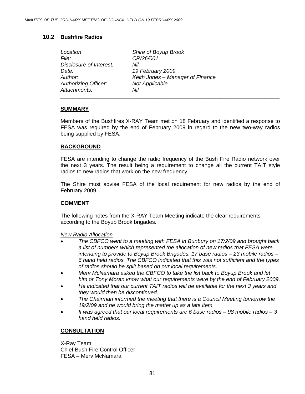# **10.2 Bushfire Radios**

| Location                    | Shire of Boyup Brook             |
|-----------------------------|----------------------------------|
| <i>File:</i>                | CR/26/001                        |
| Disclosure of Interest:     | Nil                              |
| Date:                       | 19 February 2009                 |
| Author:                     | Keith Jones - Manager of Finance |
| <b>Authorizing Officer:</b> | Not Applicable                   |
| Attachments:                | Nil                              |
|                             |                                  |

# **SUMMARY**

Members of the Bushfires X-RAY Team met on 18 February and identified a response to FESA was required by the end of February 2009 in regard to the new two-way radios being supplied by FESA.

#### **BACKGROUND**

FESA are intending to change the radio frequency of the Bush Fire Radio network over the next 3 years. The result being a requirement to change all the current TAIT style radios to new radios that work on the new frequency.

The Shire must advise FESA of the local requirement for new radios by the end of February 2009.

# **COMMENT**

The following notes from the X-RAY Team Meeting indicate the clear requirements according to the Boyup Brook brigades.

*New Radio Allocation*

- *The CBFCO went to a meeting with FESA in Bunbury on 17/2/09 and brought back a list of numbers which represented the allocation of new radios that FESA were intending to provide to Boyup Brook Brigades. 17 base radios – 23 mobile radios – 6 hand held radios. The CBFCO indicated that this was not sufficient and the types of radios should be split based on our local requirements.*
- *Merv McNamara asked the CBFCO to take the list back to Boyup Brook and let him or Tony Moran know what our requirements were by the end of February 2009.*
- *He indicated that our current TAIT radios will be available for the next 3 years and they would then be discontinued.*
- *The Chairman informed the meeting that there is a Council Meeting tomorrow the 19/2/09 and he would bring the matter up as a late item.*
- *It was agreed that our local requirements are 6 base radios 98 mobile radios 3 hand held radios.*

# **CONSULTATION**

X-Ray Team Chief Bush Fire Control Officer FESA – Merv McNamara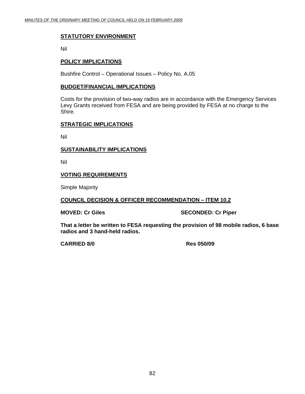# **STATUTORY ENVIRONMENT**

Nil

# **POLICY IMPLICATIONS**

Bushfire Control – Operational Issues – Policy No. A.05

#### **BUDGET/FINANCIAL IMPLICATIONS**

Costs for the provision of two-way radios are in accordance with the Emergency Services Levy Grants received from FESA and are being provided by FESA at no charge to the Shire.

#### **STRATEGIC IMPLICATIONS**

Nil

#### **SUSTAINABILITY IMPLICATIONS**

Nil

# **VOTING REQUIREMENTS**

Simple Majority

#### **COUNCIL DECISION & OFFICER RECOMMENDATION – ITEM 10.2**

**MOVED: Cr Giles SECONDED: Cr Piper** 

**That a letter be written to FESA requesting the provision of 98 mobile radios, 6 base radios and 3 hand-held radios.** 

 **CARRIED 8/0 Res 050/09**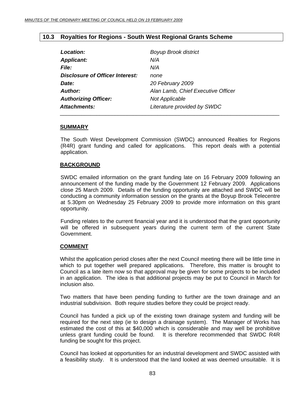# **10.3 Royalties for Regions - South West Regional Grants Scheme**

| Location:                       | <b>Boyup Brook district</b>        |
|---------------------------------|------------------------------------|
| <b>Applicant:</b>               | N/A                                |
| <b>File:</b>                    | N/A                                |
| Disclosure of Officer Interest: | none                               |
| Date:                           | 20 February 2009                   |
| Author:                         | Alan Lamb, Chief Executive Officer |
| <b>Authorizing Officer:</b>     | Not Applicable                     |
| Attachments:                    | Literature provided by SWDC        |

#### **SUMMARY**

The South West Development Commission (SWDC) announced Realties for Regions (R4R) grant funding and called for applications. This report deals with a potential application.

#### **BACKGROUND**

SWDC emailed information on the grant funding late on 16 February 2009 following an announcement of the funding made by the Government 12 February 2009. Applications close 25 March 2009. Details of the funding opportunity are attached and SWDC will be conducting a community information session on the grants at the Boyup Brook Telecentre at 5.30pm on Wednesday 25 February 2009 to provide more information on this grant opportunity.

Funding relates to the current financial year and it is understood that the grant opportunity will be offered in subsequent years during the current term of the current State Government.

# **COMMENT**

Whilst the application period closes after the next Council meeting there will be little time in which to put together well prepared applications. Therefore, this matter is brought to Council as a late item now so that approval may be given for some projects to be included in an application. The idea is that additional projects may be put to Council in March for inclusion also.

Two matters that have been pending funding to further are the town drainage and an industrial subdivision. Both require studies before they could be project ready.

Council has funded a pick up of the existing town drainage system and funding will be required for the next step (ie to design a drainage system). The Manager of Works has estimated the cost of this at \$40,000 which is considerable and may well be prohibitive unless grant funding could be found. It is therefore recommended that SWDC R4R funding be sought for this project.

Council has looked at opportunities for an industrial development and SWDC assisted with a feasibility study. It is understood that the land looked at was deemed unsuitable. It is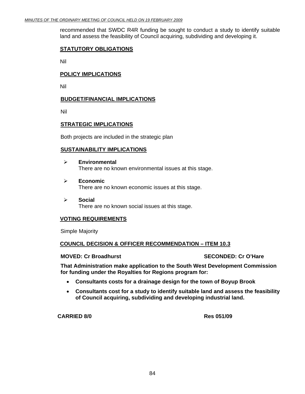recommended that SWDC R4R funding be sought to conduct a study to identify suitable land and assess the feasibility of Council acquiring, subdividing and developing it.

#### **STATUTORY OBLIGATIONS**

Nil

#### **POLICY IMPLICATIONS**

Nil

#### **BUDGET/FINANCIAL IMPLICATIONS**

Nil

#### **STRATEGIC IMPLICATIONS**

Both projects are included in the strategic plan

#### **SUSTAINABILITY IMPLICATIONS**

- ¾ **Environmental**  There are no known environmental issues at this stage.
- ¾ **Economic**  There are no known economic issues at this stage.
- ¾ **Social**  There are no known social issues at this stage.

# **VOTING REQUIREMENTS**

Simple Majority

#### **COUNCIL DECISION & OFFICER RECOMMENDATION – ITEM 10.3**

**MOVED: Cr Broadhurst SECONDED: Cr O'Hare SECONDED: Cr O'Hare** 

**That Administration make application to the South West Development Commission for funding under the Royalties for Regions program for:** 

- **Consultants costs for a drainage design for the town of Boyup Brook**
- **Consultants cost for a study to identify suitable land and assess the feasibility of Council acquiring, subdividing and developing industrial land.**

**CARRIED 8/0 Res 051/09**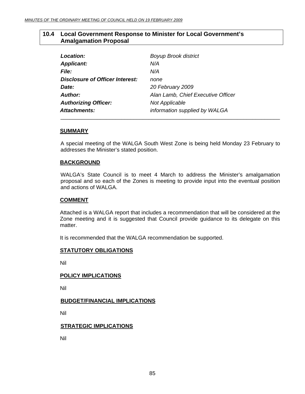# **10.4 Local Government Response to Minister for Local Government's Amalgamation Proposal**

| Location:                              | <b>Boyup Brook district</b>        |
|----------------------------------------|------------------------------------|
| <b>Applicant:</b>                      | N/A                                |
| <b>File:</b>                           | N/A                                |
| <b>Disclosure of Officer Interest:</b> | none                               |
| Date:                                  | 20 February 2009                   |
| Author:                                | Alan Lamb, Chief Executive Officer |
| <b>Authorizing Officer:</b>            | <b>Not Applicable</b>              |
| Attachments:                           | information supplied by WALGA      |

#### **SUMMARY**

A special meeting of the WALGA South West Zone is being held Monday 23 February to addresses the Minister's stated position.

#### **BACKGROUND**

WALGA's State Council is to meet 4 March to address the Minister's amalgamation proposal and so each of the Zones is meeting to provide input into the eventual position and actions of WALGA.

#### **COMMENT**

Attached is a WALGA report that includes a recommendation that will be considered at the Zone meeting and it is suggested that Council provide guidance to its delegate on this matter.

It is recommended that the WALGA recommendation be supported.

# **STATUTORY OBLIGATIONS**

Nil

#### **POLICY IMPLICATIONS**

Nil

# **BUDGET/FINANCIAL IMPLICATIONS**

Nil

# **STRATEGIC IMPLICATIONS**

Nil